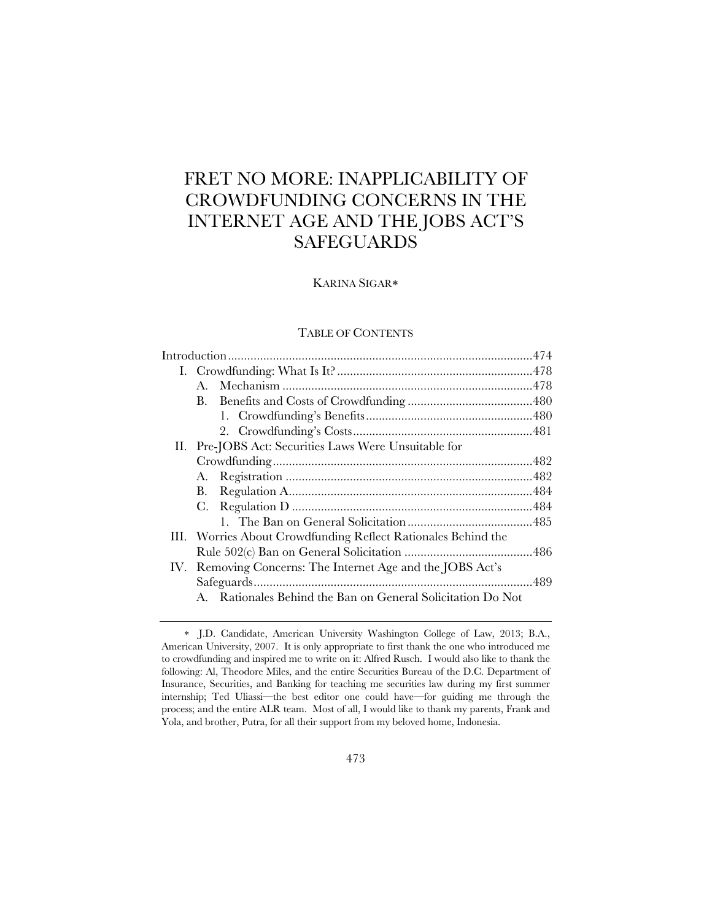# FRET NO MORE: INAPPLICABILITY OF CROWDFUNDING CONCERNS IN THE INTERNET AGE AND THE JOBS ACT'S **SAFEGUARDS**

# KARINA SIGAR

## TABLE OF CONTENTS

|  | $A_{\cdot}$                                                   |  |
|--|---------------------------------------------------------------|--|
|  | В.                                                            |  |
|  |                                                               |  |
|  |                                                               |  |
|  | II. Pre-JOBS Act: Securities Laws Were Unsuitable for         |  |
|  |                                                               |  |
|  | А.                                                            |  |
|  | В.                                                            |  |
|  | C.                                                            |  |
|  |                                                               |  |
|  | III. Worries About Crowdfunding Reflect Rationales Behind the |  |
|  |                                                               |  |
|  | IV. Removing Concerns: The Internet Age and the JOBS Act's    |  |
|  |                                                               |  |
|  | A. Rationales Behind the Ban on General Solicitation Do Not   |  |
|  |                                                               |  |

J.D. Candidate, American University Washington College of Law, 2013; B.A., American University, 2007. It is only appropriate to first thank the one who introduced me to crowdfunding and inspired me to write on it: Alfred Rusch. I would also like to thank the following: Al, Theodore Miles, and the entire Securities Bureau of the D.C. Department of Insurance, Securities, and Banking for teaching me securities law during my first summer internship; Ted Uliassi—the best editor one could have—for guiding me through the process; and the entire ALR team. Most of all, I would like to thank my parents, Frank and Yola, and brother, Putra, for all their support from my beloved home, Indonesia.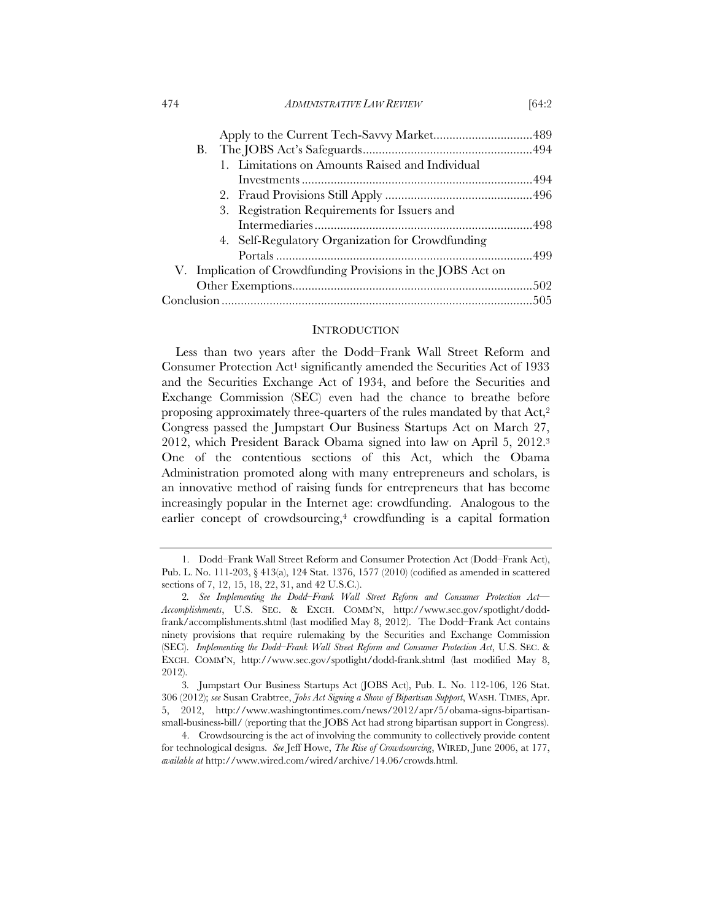474 *ADMINISTRATIVE LAW REVIEW* [64:2

| 1. Limitations on Amounts Raised and Individual              |
|--------------------------------------------------------------|
|                                                              |
|                                                              |
|                                                              |
|                                                              |
| 4. Self-Regulatory Organization for Crowdfunding             |
|                                                              |
| V. Implication of Crowdfunding Provisions in the JOBS Act on |
|                                                              |
|                                                              |
|                                                              |

### INTRODUCTION

Less than two years after the Dodd–Frank Wall Street Reform and Consumer Protection Act1 significantly amended the Securities Act of 1933 and the Securities Exchange Act of 1934, and before the Securities and Exchange Commission (SEC) even had the chance to breathe before proposing approximately three-quarters of the rules mandated by that Act,2 Congress passed the Jumpstart Our Business Startups Act on March 27, 2012, which President Barack Obama signed into law on April 5, 2012.3 One of the contentious sections of this Act, which the Obama Administration promoted along with many entrepreneurs and scholars, is an innovative method of raising funds for entrepreneurs that has become increasingly popular in the Internet age: crowdfunding. Analogous to the earlier concept of crowdsourcing,<sup>4</sup> crowdfunding is a capital formation

 <sup>1.</sup> Dodd–Frank Wall Street Reform and Consumer Protection Act (Dodd–Frank Act), Pub. L. No. 111-203, § 413(a), 124 Stat. 1376, 1577 (2010) (codified as amended in scattered sections of 7, 12, 15, 18, 22, 31, and 42 U.S.C.).

<sup>2</sup>*. See Implementing the Dodd–Frank Wall Street Reform and Consumer Protection Act— Accomplishments*, U.S. SEC. & EXCH. COMM'N, http://www.sec.gov/spotlight/doddfrank/accomplishments.shtml (last modified May 8, 2012). The Dodd–Frank Act contains ninety provisions that require rulemaking by the Securities and Exchange Commission (SEC). *Implementing the Dodd–Frank Wall Street Reform and Consumer Protection Act*, U.S. SEC. & EXCH. COMM'N, http://www.sec.gov/spotlight/dodd-frank.shtml (last modified May 8, 2012).

<sup>3</sup>*.* Jumpstart Our Business Startups Act (JOBS Act), Pub. L. No. 112-106, 126 Stat. 306 (2012); *see* Susan Crabtree, *Jobs Act Signing a Show of Bipartisan Support*, WASH. TIMES, Apr. 5, 2012, http://www.washingtontimes.com/news/2012/apr/5/obama-signs-bipartisansmall-business-bill/ (reporting that the JOBS Act had strong bipartisan support in Congress).

 <sup>4.</sup> Crowdsourcing is the act of involving the community to collectively provide content for technological designs. *See* Jeff Howe, *The Rise of Crowdsourcing*, WIRED, June 2006, at 177, *available at* http://www.wired.com/wired/archive/14.06/crowds.html.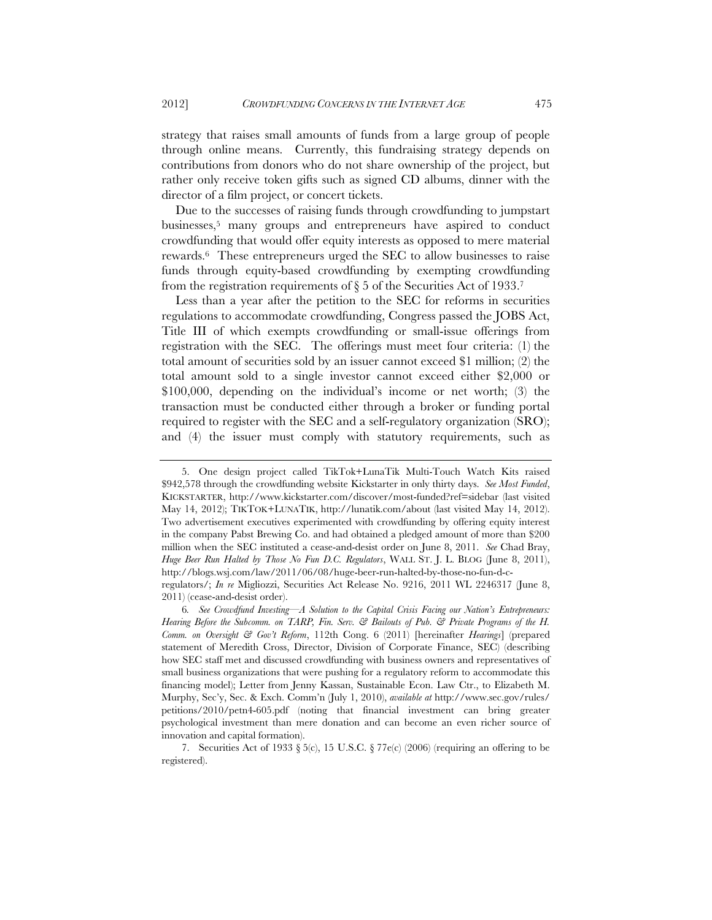strategy that raises small amounts of funds from a large group of people through online means. Currently, this fundraising strategy depends on contributions from donors who do not share ownership of the project, but rather only receive token gifts such as signed CD albums, dinner with the director of a film project, or concert tickets.

Due to the successes of raising funds through crowdfunding to jumpstart businesses,5 many groups and entrepreneurs have aspired to conduct crowdfunding that would offer equity interests as opposed to mere material rewards.6 These entrepreneurs urged the SEC to allow businesses to raise funds through equity-based crowdfunding by exempting crowdfunding from the registration requirements of  $\S$  5 of the Securities Act of 1933.<sup>7</sup>

Less than a year after the petition to the SEC for reforms in securities regulations to accommodate crowdfunding, Congress passed the JOBS Act, Title III of which exempts crowdfunding or small-issue offerings from registration with the SEC. The offerings must meet four criteria: (1) the total amount of securities sold by an issuer cannot exceed \$1 million; (2) the total amount sold to a single investor cannot exceed either \$2,000 or \$100,000, depending on the individual's income or net worth; (3) the transaction must be conducted either through a broker or funding portal required to register with the SEC and a self-regulatory organization (SRO); and (4) the issuer must comply with statutory requirements, such as

 <sup>5.</sup> One design project called TikTok+LunaTik Multi-Touch Watch Kits raised \$942,578 through the crowdfunding website Kickstarter in only thirty days. *See Most Funded*, KICKSTARTER, http://www.kickstarter.com/discover/most-funded?ref=sidebar (last visited May 14, 2012); TIKTOK+LUNATIK, http://lunatik.com/about (last visited May 14, 2012). Two advertisement executives experimented with crowdfunding by offering equity interest in the company Pabst Brewing Co. and had obtained a pledged amount of more than \$200 million when the SEC instituted a cease-and-desist order on June 8, 2011. *See* Chad Bray, *Huge Beer Run Halted by Those No Fun D.C. Regulators*, WALL ST. J. L. BLOG (June 8, 2011), http://blogs.wsj.com/law/2011/06/08/huge-beer-run-halted-by-those-no-fun-d-c-

regulators/; *In re* Migliozzi, Securities Act Release No. 9216, 2011 WL 2246317 (June 8, 2011) (cease-and-desist order).

<sup>6</sup>*. See Crowdfund Investing—A Solution to the Capital Crisis Facing our Nation's Entrepreneurs: Hearing Before the Subcomm. on TARP, Fin. Serv. & Bailouts of Pub. & Private Programs of the H. Comm. on Oversight & Gov't Reform*, 112th Cong. 6 (2011) [hereinafter *Hearings*] (prepared statement of Meredith Cross, Director, Division of Corporate Finance, SEC) (describing how SEC staff met and discussed crowdfunding with business owners and representatives of small business organizations that were pushing for a regulatory reform to accommodate this financing model); Letter from Jenny Kassan, Sustainable Econ. Law Ctr., to Elizabeth M. Murphy, Sec'y, Sec. & Exch. Comm'n (July 1, 2010), *available at* http://www.sec.gov/rules/ petitions/2010/petn4-605.pdf (noting that financial investment can bring greater psychological investment than mere donation and can become an even richer source of innovation and capital formation).

<sup>7.</sup> Securities Act of 1933 § 5(c), 15 U.S.C. § 77e(c) (2006) (requiring an offering to be registered).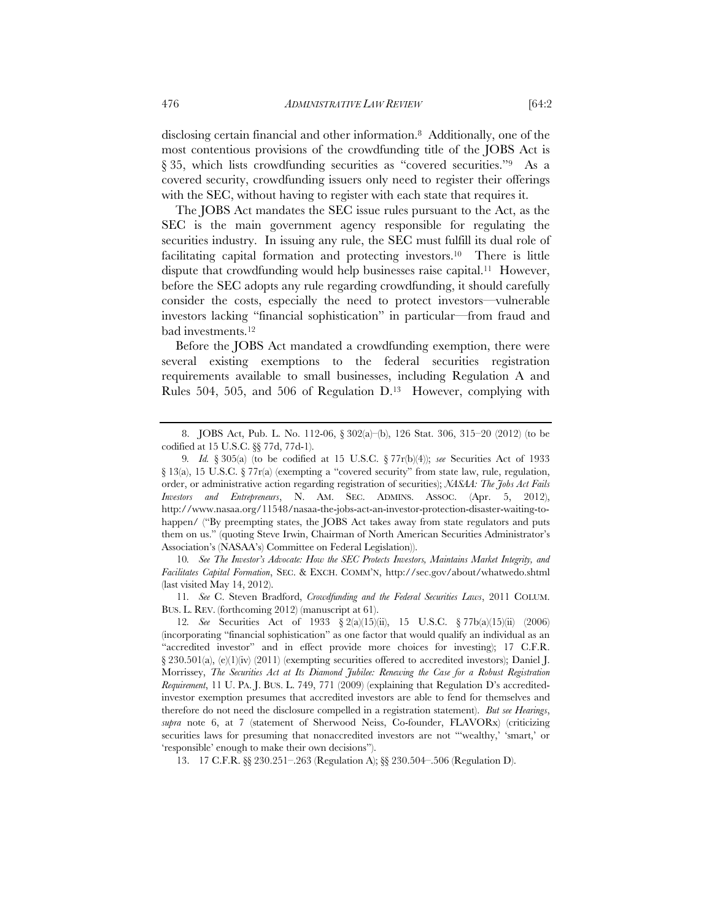disclosing certain financial and other information.8 Additionally, one of the most contentious provisions of the crowdfunding title of the JOBS Act is § 35, which lists crowdfunding securities as "covered securities."<sup>9</sup> As a covered security, crowdfunding issuers only need to register their offerings with the SEC, without having to register with each state that requires it.

The JOBS Act mandates the SEC issue rules pursuant to the Act, as the SEC is the main government agency responsible for regulating the securities industry. In issuing any rule, the SEC must fulfill its dual role of facilitating capital formation and protecting investors.10 There is little dispute that crowdfunding would help businesses raise capital.11 However, before the SEC adopts any rule regarding crowdfunding, it should carefully consider the costs, especially the need to protect investors—vulnerable investors lacking "financial sophistication" in particular—from fraud and bad investments.12

Before the JOBS Act mandated a crowdfunding exemption, there were several existing exemptions to the federal securities registration requirements available to small businesses, including Regulation A and Rules 504, 505, and 506 of Regulation D.13 However, complying with

10*. See The Investor's Advocate: How the SEC Protects Investors, Maintains Market Integrity, and Facilitates Capital Formation*, SEC. & EXCH. COMM'N, http://sec.gov/about/whatwedo.shtml (last visited May 14, 2012).

11*. See* C. Steven Bradford, *Crowdfunding and the Federal Securities Laws*, 2011 COLUM. BUS. L. REV. (forthcoming 2012) (manuscript at 61).

 <sup>8.</sup> JOBS Act, Pub. L. No. 112-06, § 302(a)–(b), 126 Stat. 306, 315–20 (2012) (to be codified at 15 U.S.C. §§ 77d, 77d-1).

<sup>9</sup>*. Id.* § 305(a) (to be codified at 15 U.S.C. § 77r(b)(4)); *see* Securities Act of 1933 § 13(a), 15 U.S.C. § 77r(a) (exempting a "covered security" from state law, rule, regulation, order, or administrative action regarding registration of securities); *NASAA: The Jobs Act Fails Investors and Entrepreneurs*, N. AM. SEC. ADMINS. ASSOC. (Apr. 5, 2012), http://www.nasaa.org/11548/nasaa-the-jobs-act-an-investor-protection-disaster-waiting-tohappen/ ("By preempting states, the JOBS Act takes away from state regulators and puts them on us." (quoting Steve Irwin, Chairman of North American Securities Administrator's Association's (NASAA's) Committee on Federal Legislation)).

<sup>12</sup>*. See* Securities Act of 1933 § 2(a)(15)(ii), 15 U.S.C. § 77b(a)(15)(ii) (2006) (incorporating "financial sophistication" as one factor that would qualify an individual as an "accredited investor" and in effect provide more choices for investing); 17 C.F.R. § 230.501(a), (e)(1)(iv) (2011) (exempting securities offered to accredited investors); Daniel J. Morrissey, *The Securities Act at Its Diamond Jubilee: Renewing the Case for a Robust Registration Requirement*, 11 U. PA. J. BUS. L. 749, 771 (2009) (explaining that Regulation D's accreditedinvestor exemption presumes that accredited investors are able to fend for themselves and therefore do not need the disclosure compelled in a registration statement). *But see Hearings*, *supra* note 6, at 7 (statement of Sherwood Neiss, Co-founder, FLAVORx) (criticizing securities laws for presuming that nonaccredited investors are not "'wealthy,' 'smart,' or 'responsible' enough to make their own decisions").

 <sup>13. 17</sup> C.F.R. §§ 230.251–.263 (Regulation A); §§ 230.504–.506 (Regulation D).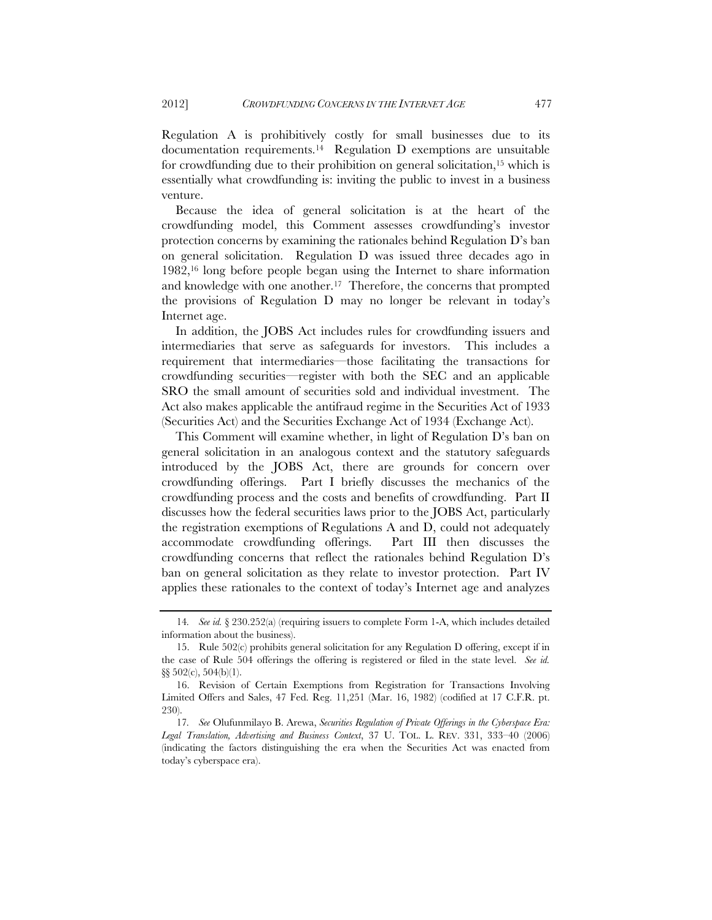Regulation A is prohibitively costly for small businesses due to its documentation requirements.14 Regulation D exemptions are unsuitable for crowdfunding due to their prohibition on general solicitation,15 which is essentially what crowdfunding is: inviting the public to invest in a business venture.

Because the idea of general solicitation is at the heart of the crowdfunding model, this Comment assesses crowdfunding's investor protection concerns by examining the rationales behind Regulation D's ban on general solicitation. Regulation D was issued three decades ago in 1982,16 long before people began using the Internet to share information and knowledge with one another.17 Therefore, the concerns that prompted the provisions of Regulation D may no longer be relevant in today's Internet age.

In addition, the JOBS Act includes rules for crowdfunding issuers and intermediaries that serve as safeguards for investors. This includes a requirement that intermediaries—those facilitating the transactions for crowdfunding securities—register with both the SEC and an applicable SRO the small amount of securities sold and individual investment. The Act also makes applicable the antifraud regime in the Securities Act of 1933 (Securities Act) and the Securities Exchange Act of 1934 (Exchange Act).

This Comment will examine whether, in light of Regulation D's ban on general solicitation in an analogous context and the statutory safeguards introduced by the JOBS Act, there are grounds for concern over crowdfunding offerings. Part I briefly discusses the mechanics of the crowdfunding process and the costs and benefits of crowdfunding. Part II discusses how the federal securities laws prior to the JOBS Act, particularly the registration exemptions of Regulations A and D, could not adequately accommodate crowdfunding offerings. Part III then discusses the crowdfunding concerns that reflect the rationales behind Regulation D's ban on general solicitation as they relate to investor protection. Part IV applies these rationales to the context of today's Internet age and analyzes

<sup>14</sup>*. See id.* § 230.252(a) (requiring issuers to complete Form 1-A, which includes detailed information about the business).

 <sup>15.</sup> Rule 502(c) prohibits general solicitation for any Regulation D offering, except if in the case of Rule 504 offerings the offering is registered or filed in the state level. *See id.*  §§ 502(c), 504(b)(1).

 <sup>16.</sup> Revision of Certain Exemptions from Registration for Transactions Involving Limited Offers and Sales, 47 Fed. Reg. 11,251 (Mar. 16, 1982) (codified at 17 C.F.R. pt. 230).

<sup>17</sup>*. See* Olufunmilayo B. Arewa, *Securities Regulation of Private Offerings in the Cyberspace Era: Legal Translation, Advertising and Business Context*, 37 U. TOL. L. REV. 331, 333–40 (2006) (indicating the factors distinguishing the era when the Securities Act was enacted from today's cyberspace era).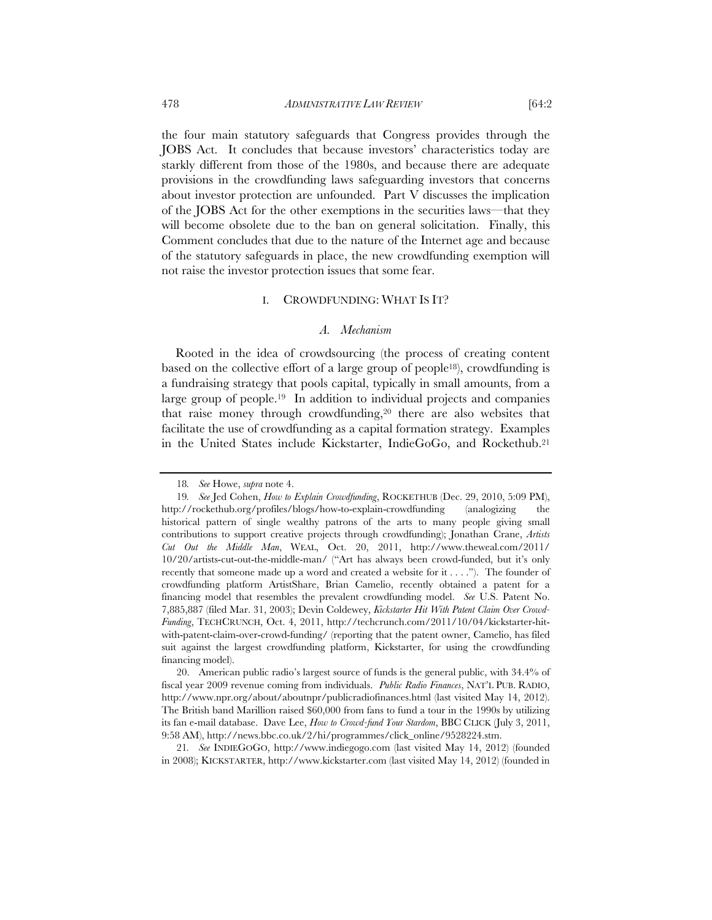the four main statutory safeguards that Congress provides through the JOBS Act. It concludes that because investors' characteristics today are starkly different from those of the 1980s, and because there are adequate provisions in the crowdfunding laws safeguarding investors that concerns about investor protection are unfounded. Part V discusses the implication of the JOBS Act for the other exemptions in the securities laws—that they will become obsolete due to the ban on general solicitation. Finally, this Comment concludes that due to the nature of the Internet age and because of the statutory safeguards in place, the new crowdfunding exemption will not raise the investor protection issues that some fear.

#### I. CROWDFUNDING: WHAT IS IT?

#### *A. Mechanism*

Rooted in the idea of crowdsourcing (the process of creating content based on the collective effort of a large group of people18), crowdfunding is a fundraising strategy that pools capital, typically in small amounts, from a large group of people.19 In addition to individual projects and companies that raise money through crowdfunding,20 there are also websites that facilitate the use of crowdfunding as a capital formation strategy. Examples in the United States include Kickstarter, IndieGoGo, and Rockethub.21

 20. American public radio's largest source of funds is the general public, with 34.4% of fiscal year 2009 revenue coming from individuals. *Public Radio Finances*, NAT'L PUB. RADIO, http://www.npr.org/about/aboutnpr/publicradiofinances.html (last visited May 14, 2012). The British band Marillion raised \$60,000 from fans to fund a tour in the 1990s by utilizing its fan e-mail database. Dave Lee, *How to Crowd-fund Your Stardom*, BBC CLICK (July 3, 2011, 9:58 AM), http://news.bbc.co.uk/2/hi/programmes/click\_online/9528224.stm.

21*. See* INDIEGOGO, http://www.indiegogo.com (last visited May 14, 2012) (founded in 2008); KICKSTARTER, http://www.kickstarter.com (last visited May 14, 2012) (founded in

<sup>18</sup>*. See* Howe, *supra* note 4.

<sup>19</sup>*. See* Jed Cohen, *How to Explain Crowdfunding*, ROCKETHUB (Dec. 29, 2010, 5:09 PM), http://rockethub.org/profiles/blogs/how-to-explain-crowdfunding (analogizing the historical pattern of single wealthy patrons of the arts to many people giving small contributions to support creative projects through crowdfunding); Jonathan Crane, *Artists Cut Out the Middle Man*, WEAL, Oct. 20, 2011, http://www.theweal.com/2011/ 10/20/artists-cut-out-the-middle-man/ ("Art has always been crowd-funded, but it's only recently that someone made up a word and created a website for it . . . ."). The founder of crowdfunding platform ArtistShare, Brian Camelio, recently obtained a patent for a financing model that resembles the prevalent crowdfunding model. *See* U.S. Patent No. 7,885,887 (filed Mar. 31, 2003); Devin Coldewey, *Kickstarter Hit With Patent Claim Over Crowd-Funding*, TECHCRUNCH, Oct. 4, 2011, http://techcrunch.com/2011/10/04/kickstarter-hitwith-patent-claim-over-crowd-funding/ (reporting that the patent owner, Camelio, has filed suit against the largest crowdfunding platform, Kickstarter, for using the crowdfunding financing model).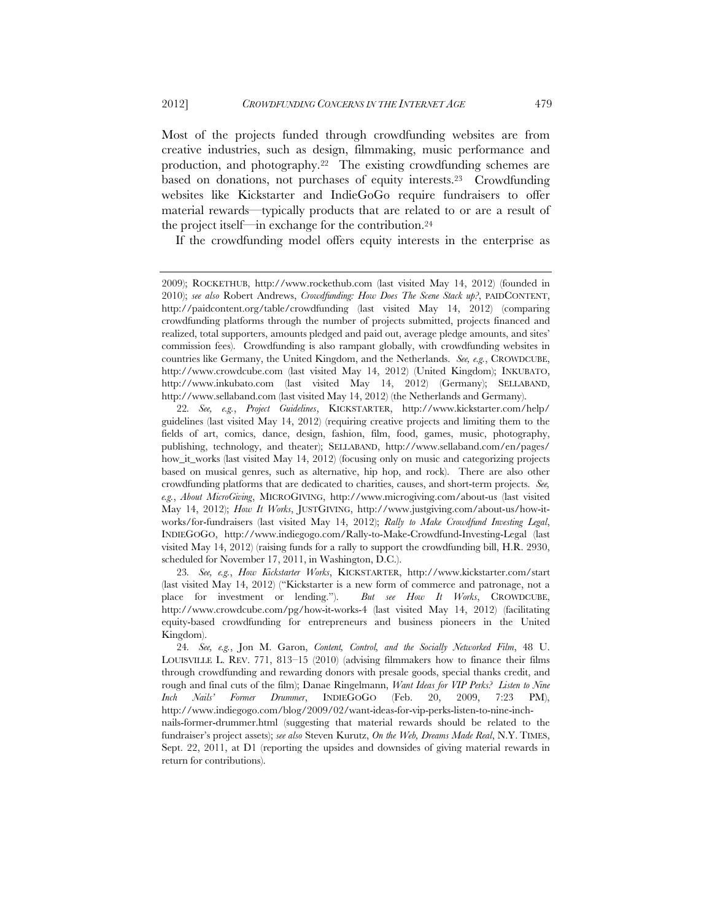Most of the projects funded through crowdfunding websites are from creative industries, such as design, filmmaking, music performance and production, and photography.22 The existing crowdfunding schemes are based on donations, not purchases of equity interests.23 Crowdfunding websites like Kickstarter and IndieGoGo require fundraisers to offer material rewards—typically products that are related to or are a result of the project itself—in exchange for the contribution.24

If the crowdfunding model offers equity interests in the enterprise as

23*. See, e.g.*, *How Kickstarter Works*, KICKSTARTER, http://www.kickstarter.com/start (last visited May 14, 2012) ("Kickstarter is a new form of commerce and patronage, not a place for investment or lending."). *But see How It Works*, CROWDCUBE, http://www.crowdcube.com/pg/how-it-works-4 (last visited May 14, 2012) (facilitating equity-based crowdfunding for entrepreneurs and business pioneers in the United Kingdom).

24*. See, e.g.*, Jon M. Garon, *Content, Control, and the Socially Networked Film*, 48 U. LOUISVILLE L. REV. 771, 813–15 (2010) (advising filmmakers how to finance their films through crowdfunding and rewarding donors with presale goods, special thanks credit, and rough and final cuts of the film); Danae Ringelmann, *Want Ideas for VIP Perks? Listen to Nine Inch Nails' Former Drummer*, INDIEGOGO (Feb. 20, 2009, 7:23 PM), http://www.indiegogo.com/blog/2009/02/want-ideas-for-vip-perks-listen-to-nine-inchnails-former-drummer.html (suggesting that material rewards should be related to the fundraiser's project assets); *see also* Steven Kurutz, *On the Web, Dreams Made Real*, N.Y. TIMES, Sept. 22, 2011, at D1 (reporting the upsides and downsides of giving material rewards in return for contributions).

<sup>2009);</sup> ROCKETHUB, http://www.rockethub.com (last visited May 14, 2012) (founded in 2010); *see also* Robert Andrews, *Crowdfunding: How Does The Scene Stack up?*, PAIDCONTENT, http://paidcontent.org/table/crowdfunding (last visited May 14, 2012) (comparing crowdfunding platforms through the number of projects submitted, projects financed and realized, total supporters, amounts pledged and paid out, average pledge amounts, and sites' commission fees). Crowdfunding is also rampant globally, with crowdfunding websites in countries like Germany, the United Kingdom, and the Netherlands. *See, e.g.*, CROWDCUBE, http://www.crowdcube.com (last visited May 14, 2012) (United Kingdom); INKUBATO, http://www.inkubato.com (last visited May 14, 2012) (Germany); SELLABAND, http://www.sellaband.com (last visited May 14, 2012) (the Netherlands and Germany).

<sup>22</sup>*. See, e.g.*, *Project Guidelines*, KICKSTARTER, http://www.kickstarter.com/help/ guidelines (last visited May 14, 2012) (requiring creative projects and limiting them to the fields of art, comics, dance, design, fashion, film, food, games, music, photography, publishing, technology, and theater); SELLABAND, http://www.sellaband.com/en/pages/ how\_it\_works (last visited May 14, 2012) (focusing only on music and categorizing projects based on musical genres, such as alternative, hip hop, and rock). There are also other crowdfunding platforms that are dedicated to charities, causes, and short-term projects. *See, e.g.*, *About MicroGiving*, MICROGIVING, http://www.microgiving.com/about-us (last visited May 14, 2012); *How It Works*, JUSTGIVING, http://www.justgiving.com/about-us/how-itworks/for-fundraisers (last visited May 14, 2012); *Rally to Make Crowdfund Investing Legal*, INDIEGOGO, http://www.indiegogo.com/Rally-to-Make-Crowdfund-Investing-Legal (last visited May 14, 2012) (raising funds for a rally to support the crowdfunding bill, H.R. 2930, scheduled for November 17, 2011, in Washington, D.C.).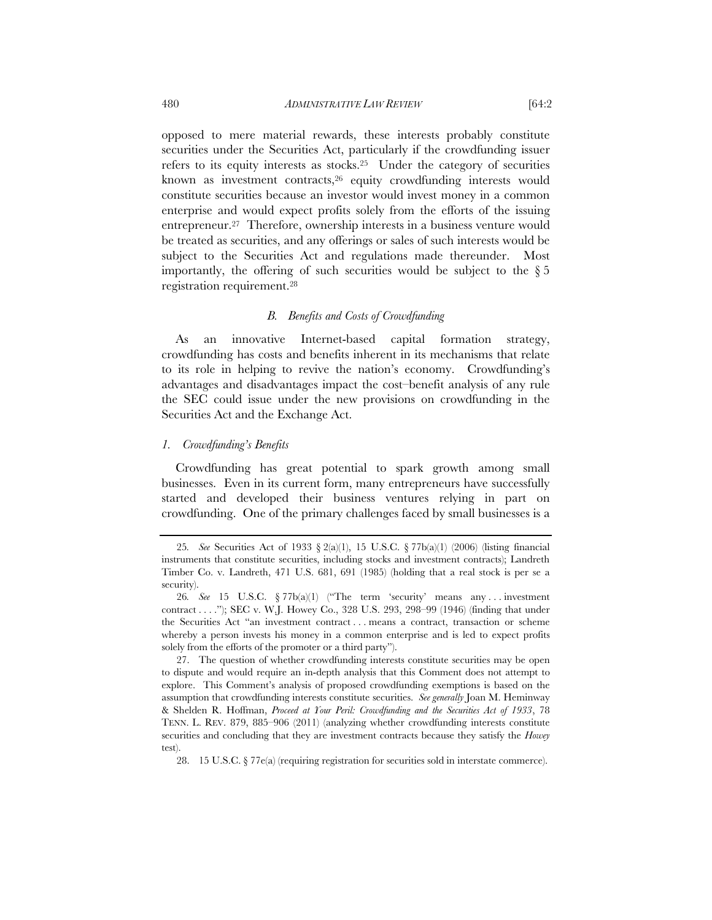opposed to mere material rewards, these interests probably constitute securities under the Securities Act, particularly if the crowdfunding issuer refers to its equity interests as stocks.25 Under the category of securities known as investment contracts,<sup>26</sup> equity crowdfunding interests would constitute securities because an investor would invest money in a common enterprise and would expect profits solely from the efforts of the issuing entrepreneur.27 Therefore, ownership interests in a business venture would be treated as securities, and any offerings or sales of such interests would be subject to the Securities Act and regulations made thereunder. Most importantly, the offering of such securities would be subject to the  $\S 5$ registration requirement.28

#### *B. Benefits and Costs of Crowdfunding*

As an innovative Internet-based capital formation strategy, crowdfunding has costs and benefits inherent in its mechanisms that relate to its role in helping to revive the nation's economy. Crowdfunding's advantages and disadvantages impact the cost–benefit analysis of any rule the SEC could issue under the new provisions on crowdfunding in the Securities Act and the Exchange Act.

#### *1. Crowdfunding's Benefits*

Crowdfunding has great potential to spark growth among small businesses. Even in its current form, many entrepreneurs have successfully started and developed their business ventures relying in part on crowdfunding. One of the primary challenges faced by small businesses is a

<sup>25</sup>*. See* Securities Act of 1933 § 2(a)(1), 15 U.S.C. § 77b(a)(1) (2006) (listing financial instruments that constitute securities, including stocks and investment contracts); Landreth Timber Co. v. Landreth, 471 U.S. 681, 691 (1985) (holding that a real stock is per se a security).

<sup>26</sup>*. See* 15 U.S.C. § 77b(a)(1) ("The term 'security' means any . . . investment contract . . . ."); SEC v. W.J. Howey Co., 328 U.S. 293, 298–99 (1946) (finding that under the Securities Act "an investment contract . . . means a contract, transaction or scheme whereby a person invests his money in a common enterprise and is led to expect profits solely from the efforts of the promoter or a third party").

 <sup>27.</sup> The question of whether crowdfunding interests constitute securities may be open to dispute and would require an in-depth analysis that this Comment does not attempt to explore. This Comment's analysis of proposed crowdfunding exemptions is based on the assumption that crowdfunding interests constitute securities. *See generally* Joan M. Heminway & Shelden R. Hoffman, *Proceed at Your Peril: Crowdfunding and the Securities Act of 1933*, 78 TENN. L. REV. 879, 885–906 (2011) (analyzing whether crowdfunding interests constitute securities and concluding that they are investment contracts because they satisfy the *Howey* test).

 <sup>28. 15</sup> U.S.C. § 77e(a) (requiring registration for securities sold in interstate commerce).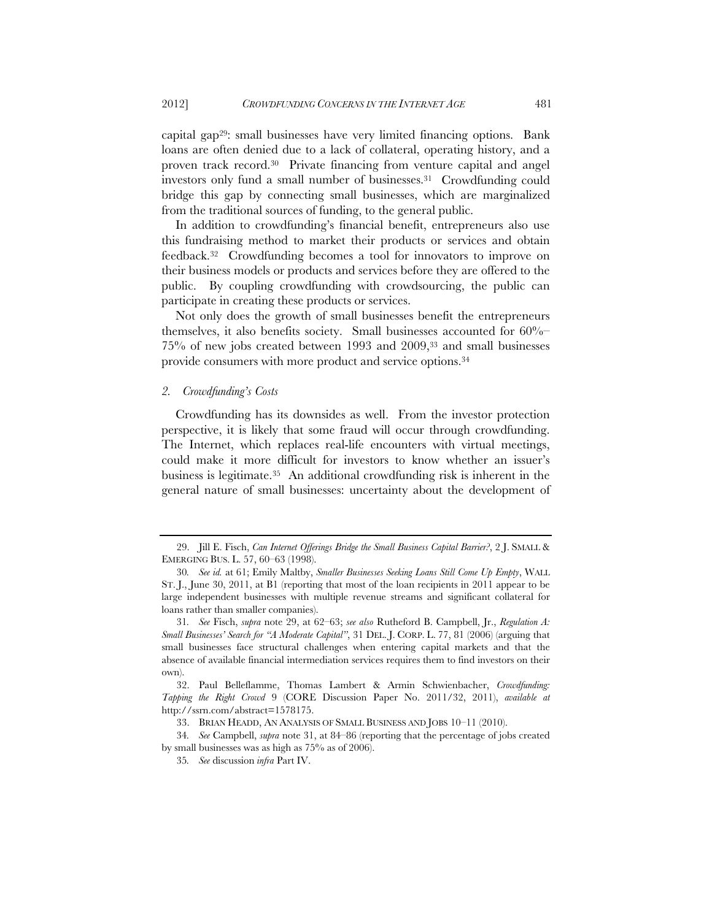capital gap29: small businesses have very limited financing options. Bank loans are often denied due to a lack of collateral, operating history, and a proven track record.30 Private financing from venture capital and angel investors only fund a small number of businesses.<sup>31</sup> Crowdfunding could bridge this gap by connecting small businesses, which are marginalized from the traditional sources of funding, to the general public.

In addition to crowdfunding's financial benefit, entrepreneurs also use this fundraising method to market their products or services and obtain feedback.32 Crowdfunding becomes a tool for innovators to improve on their business models or products and services before they are offered to the public. By coupling crowdfunding with crowdsourcing, the public can participate in creating these products or services.

Not only does the growth of small businesses benefit the entrepreneurs themselves, it also benefits society. Small businesses accounted for 60%– 75% of new jobs created between 1993 and 2009,33 and small businesses provide consumers with more product and service options.34

#### *2. Crowdfunding's Costs*

Crowdfunding has its downsides as well. From the investor protection perspective, it is likely that some fraud will occur through crowdfunding. The Internet, which replaces real-life encounters with virtual meetings, could make it more difficult for investors to know whether an issuer's business is legitimate.35 An additional crowdfunding risk is inherent in the general nature of small businesses: uncertainty about the development of

 <sup>29.</sup> Jill E. Fisch, *Can Internet Offerings Bridge the Small Business Capital Barrier?*, 2 J. SMALL & EMERGING BUS. L. 57, 60–63 (1998).

<sup>30</sup>*. See id.* at 61; Emily Maltby, *Smaller Businesses Seeking Loans Still Come Up Empty*, WALL ST. J., June 30, 2011, at B1 (reporting that most of the loan recipients in 2011 appear to be large independent businesses with multiple revenue streams and significant collateral for loans rather than smaller companies).

<sup>31</sup>*. See* Fisch, *supra* note 29, at 62–63; *see also* Rutheford B. Campbell, Jr., *Regulation A: Small Businesses' Search for "A Moderate Capital"*, 31 DEL. J. CORP. L. 77, 81 (2006) (arguing that small businesses face structural challenges when entering capital markets and that the absence of available financial intermediation services requires them to find investors on their own).

 <sup>32.</sup> Paul Belleflamme, Thomas Lambert & Armin Schwienbacher, *Crowdfunding: Tapping the Right Crowd* 9 (CORE Discussion Paper No. 2011/32, 2011), *available at* http://ssrn.com/abstract=1578175.

 <sup>33.</sup> BRIAN HEADD, AN ANALYSIS OF SMALL BUSINESS AND JOBS 10–11 (2010).

<sup>34</sup>*. See* Campbell, *supra* note 31, at 84–86 (reporting that the percentage of jobs created by small businesses was as high as 75% as of 2006).

<sup>35</sup>*. See* discussion *infra* Part IV.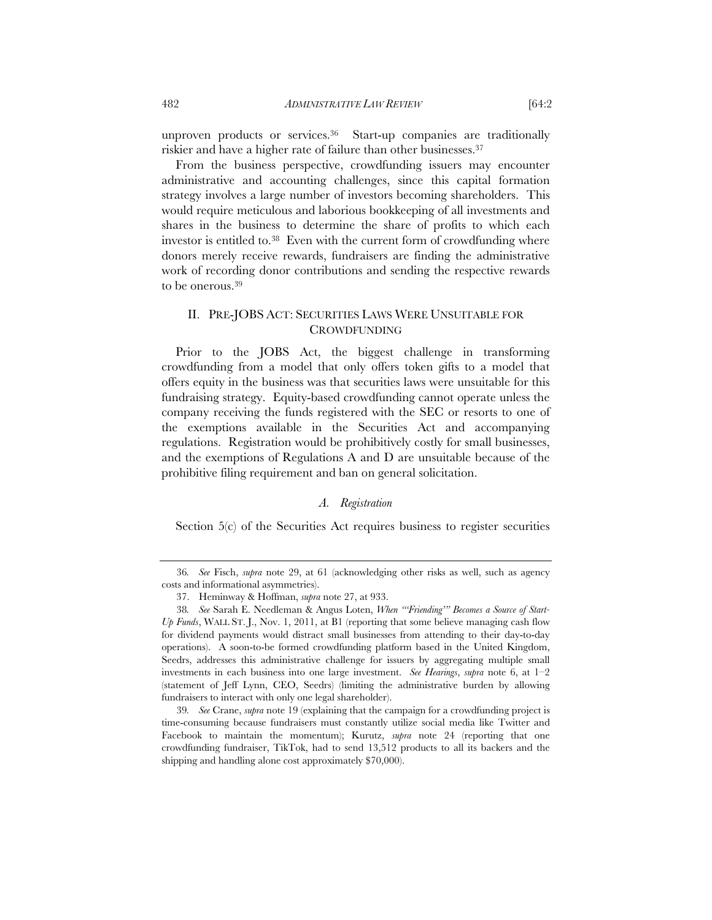unproven products or services.36 Start-up companies are traditionally riskier and have a higher rate of failure than other businesses.<sup>37</sup>

From the business perspective, crowdfunding issuers may encounter administrative and accounting challenges, since this capital formation strategy involves a large number of investors becoming shareholders. This would require meticulous and laborious bookkeeping of all investments and shares in the business to determine the share of profits to which each investor is entitled to.38 Even with the current form of crowdfunding where donors merely receive rewards, fundraisers are finding the administrative work of recording donor contributions and sending the respective rewards to be onerous.39

# II. PRE-JOBS ACT: SECURITIES LAWS WERE UNSUITABLE FOR CROWDFUNDING

Prior to the JOBS Act, the biggest challenge in transforming crowdfunding from a model that only offers token gifts to a model that offers equity in the business was that securities laws were unsuitable for this fundraising strategy. Equity-based crowdfunding cannot operate unless the company receiving the funds registered with the SEC or resorts to one of the exemptions available in the Securities Act and accompanying regulations. Registration would be prohibitively costly for small businesses, and the exemptions of Regulations A and D are unsuitable because of the prohibitive filing requirement and ban on general solicitation.

## *A. Registration*

Section 5(c) of the Securities Act requires business to register securities

<sup>36</sup>*. See* Fisch, *supra* note 29, at 61 (acknowledging other risks as well, such as agency costs and informational asymmetries).

 <sup>37.</sup> Heminway & Hoffman, *supra* note 27, at 933.

<sup>38</sup>*. See* Sarah E. Needleman & Angus Loten, *When "'Friending'" Becomes a Source of Start-Up Funds*, WALL ST. J., Nov. 1, 2011, at B1 (reporting that some believe managing cash flow for dividend payments would distract small businesses from attending to their day-to-day operations). A soon-to-be formed crowdfunding platform based in the United Kingdom, Seedrs, addresses this administrative challenge for issuers by aggregating multiple small investments in each business into one large investment. *See Hearings*, *supra* note 6, at 1–2 (statement of Jeff Lynn, CEO, Seedrs) (limiting the administrative burden by allowing fundraisers to interact with only one legal shareholder).

<sup>39</sup>*. See* Crane, *supra* note 19 (explaining that the campaign for a crowdfunding project is time-consuming because fundraisers must constantly utilize social media like Twitter and Facebook to maintain the momentum); Kurutz, *supra* note 24 (reporting that one crowdfunding fundraiser, TikTok, had to send 13,512 products to all its backers and the shipping and handling alone cost approximately \$70,000).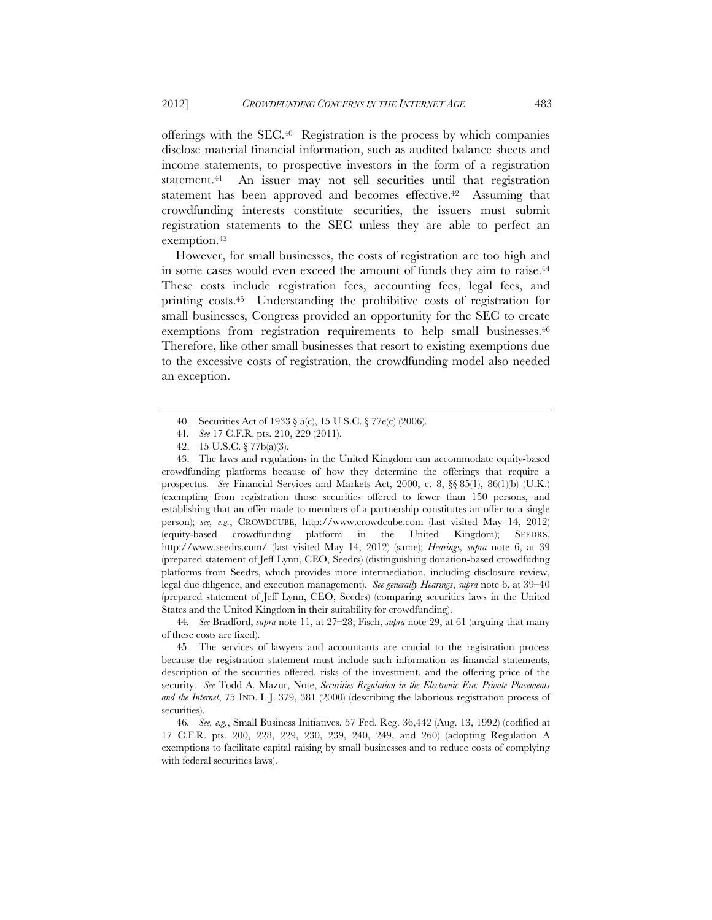offerings with the SEC.40 Registration is the process by which companies disclose material financial information, such as audited balance sheets and income statements, to prospective investors in the form of a registration statement.41 An issuer may not sell securities until that registration statement has been approved and becomes effective.<sup>42</sup> Assuming that crowdfunding interests constitute securities, the issuers must submit registration statements to the SEC unless they are able to perfect an exemption.<sup>43</sup>

However, for small businesses, the costs of registration are too high and in some cases would even exceed the amount of funds they aim to raise.44 These costs include registration fees, accounting fees, legal fees, and printing costs.45 Understanding the prohibitive costs of registration for small businesses, Congress provided an opportunity for the SEC to create exemptions from registration requirements to help small businesses.<sup>46</sup> Therefore, like other small businesses that resort to existing exemptions due to the excessive costs of registration, the crowdfunding model also needed an exception.

44*. See* Bradford, *supra* note 11, at 27–28; Fisch, *supra* note 29, at 61 (arguing that many of these costs are fixed).

 45. The services of lawyers and accountants are crucial to the registration process because the registration statement must include such information as financial statements, description of the securities offered, risks of the investment, and the offering price of the security. *See* Todd A. Mazur, Note, *Securities Regulation in the Electronic Era: Private Placements and the Internet*, 75 IND. L.J. 379, 381 (2000) (describing the laborious registration process of securities).

 <sup>40.</sup> Securities Act of 1933 § 5(c), 15 U.S.C. § 77e(c) (2006).

<sup>41</sup>*. See* 17 C.F.R. pts. 210, 229 (2011).

 <sup>42. 15</sup> U.S.C. § 77b(a)(3).

 <sup>43.</sup> The laws and regulations in the United Kingdom can accommodate equity-based crowdfunding platforms because of how they determine the offerings that require a prospectus. *See* Financial Services and Markets Act, 2000, c. 8, §§ 85(1), 86(1)(b) (U.K.) (exempting from registration those securities offered to fewer than 150 persons, and establishing that an offer made to members of a partnership constitutes an offer to a single person); *see, e.g.*, CROWDCUBE, http://www.crowdcube.com (last visited May 14, 2012) (equity-based crowdfunding platform in the United Kingdom); SEEDRS, http://www.seedrs.com/ (last visited May 14, 2012) (same); *Hearings, supra* note 6, at 39 (prepared statement of Jeff Lynn, CEO, Seedrs) (distinguishing donation-based crowdfuding platforms from Seedrs, which provides more intermediation, including disclosure review, legal due diligence, and execution management). *See generally Hearings*, *supra* note 6, at 39–40 (prepared statement of Jeff Lynn, CEO, Seedrs) (comparing securities laws in the United States and the United Kingdom in their suitability for crowdfunding).

<sup>46</sup>*. See, e.g.*, Small Business Initiatives, 57 Fed. Reg. 36,442 (Aug. 13, 1992) (codified at 17 C.F.R. pts. 200, 228, 229, 230, 239, 240, 249, and 260) (adopting Regulation A exemptions to facilitate capital raising by small businesses and to reduce costs of complying with federal securities laws).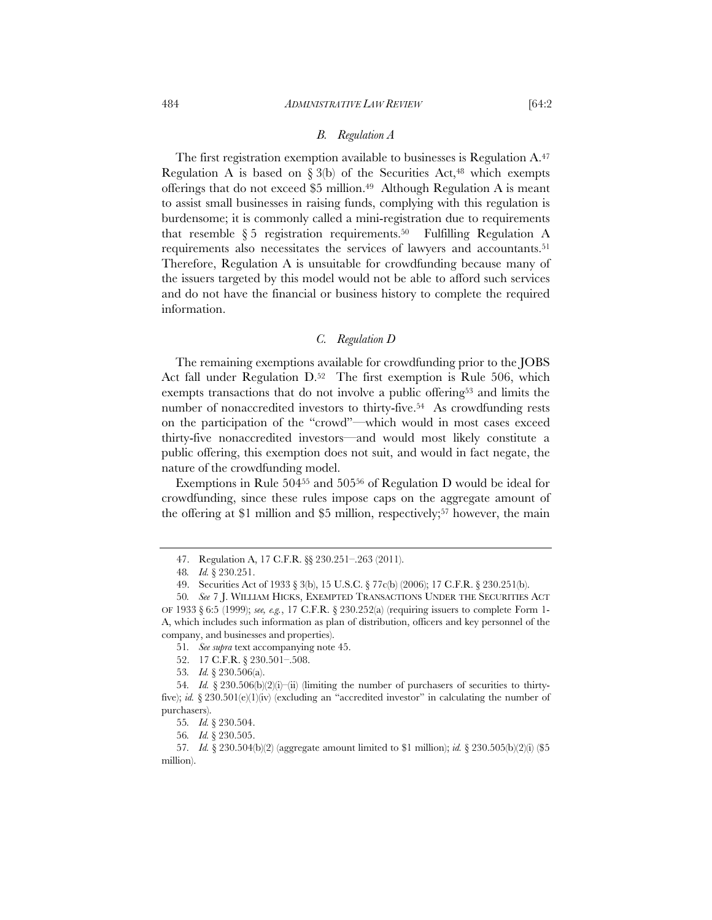The first registration exemption available to businesses is Regulation A.<sup>47</sup> Regulation A is based on  $\S 3(b)$  of the Securities Act,<sup>48</sup> which exempts offerings that do not exceed \$5 million.49 Although Regulation A is meant to assist small businesses in raising funds, complying with this regulation is burdensome; it is commonly called a mini-registration due to requirements that resemble  $\S 5$  registration requirements.<sup>50</sup> Fulfilling Regulation A requirements also necessitates the services of lawyers and accountants.<sup>51</sup> Therefore, Regulation A is unsuitable for crowdfunding because many of the issuers targeted by this model would not be able to afford such services and do not have the financial or business history to complete the required information.

#### *C. Regulation D*

The remaining exemptions available for crowdfunding prior to the JOBS Act fall under Regulation D.<sup>52</sup> The first exemption is Rule 506, which exempts transactions that do not involve a public offering<sup>53</sup> and limits the number of nonaccredited investors to thirty-five.<sup>54</sup> As crowdfunding rests on the participation of the "crowd"—which would in most cases exceed thirty-five nonaccredited investors—and would most likely constitute a public offering, this exemption does not suit, and would in fact negate, the nature of the crowdfunding model.

Exemptions in Rule 50455 and 50556 of Regulation D would be ideal for crowdfunding, since these rules impose caps on the aggregate amount of the offering at \$1 million and \$5 million, respectively;<sup>57</sup> however, the main

 <sup>47.</sup> Regulation A, 17 C.F.R. §§ 230.251–.263 (2011).

<sup>48</sup>*. Id.* § 230.251.

 <sup>49.</sup> Securities Act of 1933 § 3(b), 15 U.S.C. § 77c(b) (2006); 17 C.F.R. § 230.251(b).

<sup>50</sup>*. See* 7 J. WILLIAM HICKS, EXEMPTED TRANSACTIONS UNDER THE SECURITIES ACT OF 1933 § 6:5 (1999); *see, e.g.*, 17 C.F.R. § 230.252(a) (requiring issuers to complete Form 1- A, which includes such information as plan of distribution, officers and key personnel of the company, and businesses and properties).

<sup>51</sup>*. See supra* text accompanying note 45.

 <sup>52. 17</sup> C.F.R. § 230.501–.508.

<sup>53</sup>*. Id.* § 230.506(a).

<sup>54</sup>*. Id.* § 230.506(b)(2)(i)–(ii) (limiting the number of purchasers of securities to thirtyfive); *id.*  $\S 230.501(e)(1)(iv)$  (excluding an "accredited investor" in calculating the number of purchasers).

<sup>55</sup>*. Id.* § 230.504.

<sup>56</sup>*. Id.* § 230.505.

<sup>57</sup>*. Id.* § 230.504(b)(2) (aggregate amount limited to \$1 million); *id.* § 230.505(b)(2)(i) (\$5 million).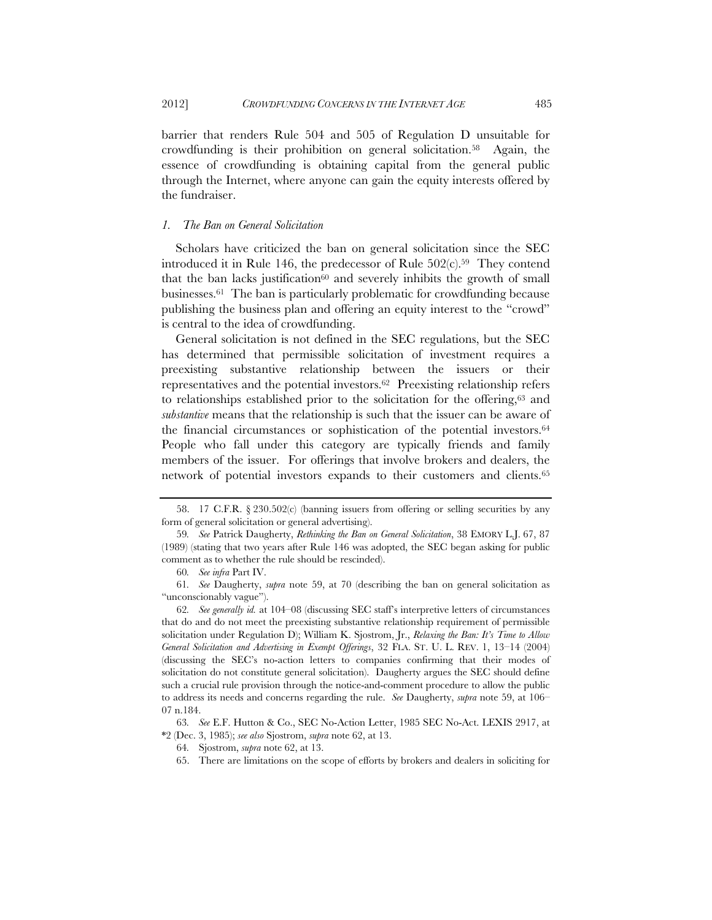barrier that renders Rule 504 and 505 of Regulation D unsuitable for crowdfunding is their prohibition on general solicitation.58 Again, the essence of crowdfunding is obtaining capital from the general public through the Internet, where anyone can gain the equity interests offered by the fundraiser.

#### *1. The Ban on General Solicitation*

Scholars have criticized the ban on general solicitation since the SEC introduced it in Rule 146, the predecessor of Rule  $502(c)$ .<sup>59</sup> They contend that the ban lacks justification $60$  and severely inhibits the growth of small businesses.61 The ban is particularly problematic for crowdfunding because publishing the business plan and offering an equity interest to the "crowd" is central to the idea of crowdfunding.

General solicitation is not defined in the SEC regulations, but the SEC has determined that permissible solicitation of investment requires a preexisting substantive relationship between the issuers or their representatives and the potential investors.62 Preexisting relationship refers to relationships established prior to the solicitation for the offering,63 and *substantive* means that the relationship is such that the issuer can be aware of the financial circumstances or sophistication of the potential investors.<sup>64</sup> People who fall under this category are typically friends and family members of the issuer. For offerings that involve brokers and dealers, the network of potential investors expands to their customers and clients.65

 <sup>58. 17</sup> C.F.R. § 230.502(c) (banning issuers from offering or selling securities by any form of general solicitation or general advertising).

<sup>59</sup>*. See* Patrick Daugherty, *Rethinking the Ban on General Solicitation*, 38 EMORY L.J. 67, 87 (1989) (stating that two years after Rule 146 was adopted, the SEC began asking for public comment as to whether the rule should be rescinded).

<sup>60</sup>*. See infra* Part IV.

<sup>61</sup>*. See* Daugherty, *supra* note 59, at 70 (describing the ban on general solicitation as "unconscionably vague").

<sup>62</sup>*. See generally id.* at 104–08 (discussing SEC staff's interpretive letters of circumstances that do and do not meet the preexisting substantive relationship requirement of permissible solicitation under Regulation D); William K. Sjostrom, Jr., *Relaxing the Ban: It's Time to Allow General Solicitation and Advertising in Exempt Offerings*, 32 FLA. ST. U. L. REV. 1, 13–14 (2004) (discussing the SEC's no-action letters to companies confirming that their modes of solicitation do not constitute general solicitation). Daugherty argues the SEC should define such a crucial rule provision through the notice-and-comment procedure to allow the public to address its needs and concerns regarding the rule. *See* Daugherty, *supra* note 59, at 106– 07 n.184.

<sup>63</sup>*. See* E.F. Hutton & Co., SEC No-Action Letter, 1985 SEC No-Act. LEXIS 2917, at \*2 (Dec. 3, 1985); *see also* Sjostrom, *supra* note 62, at 13.

<sup>64</sup>*.* Sjostrom, *supra* note 62, at 13.

 <sup>65.</sup> There are limitations on the scope of efforts by brokers and dealers in soliciting for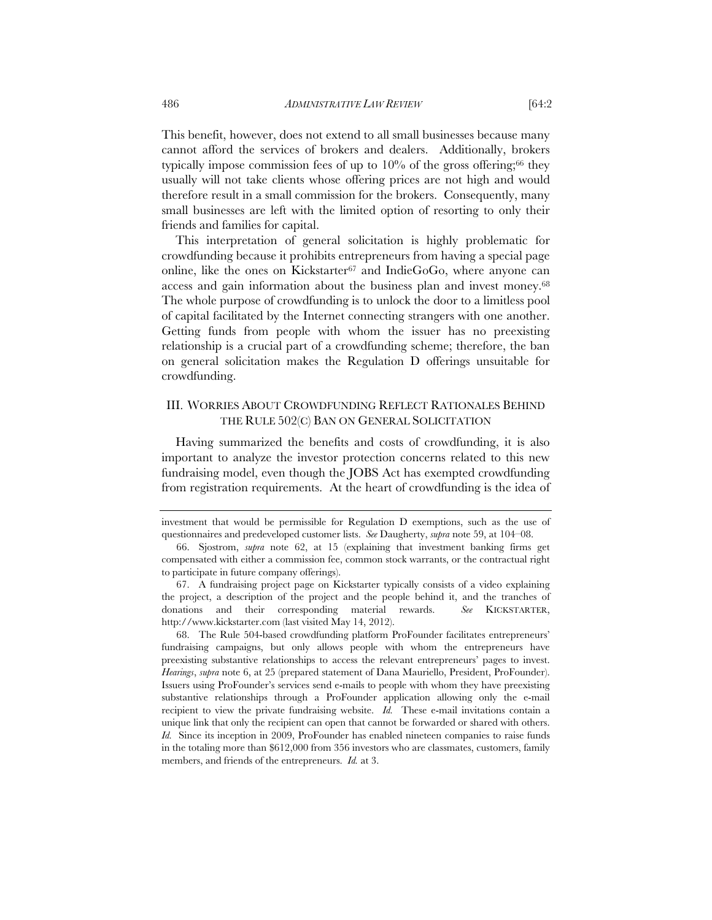This benefit, however, does not extend to all small businesses because many cannot afford the services of brokers and dealers. Additionally, brokers typically impose commission fees of up to  $10\%$  of the gross offering;<sup>66</sup> they usually will not take clients whose offering prices are not high and would therefore result in a small commission for the brokers. Consequently, many small businesses are left with the limited option of resorting to only their friends and families for capital.

This interpretation of general solicitation is highly problematic for crowdfunding because it prohibits entrepreneurs from having a special page online, like the ones on Kickstarter<sup>67</sup> and Indie $GoGo$ , where anyone can access and gain information about the business plan and invest money.68 The whole purpose of crowdfunding is to unlock the door to a limitless pool of capital facilitated by the Internet connecting strangers with one another. Getting funds from people with whom the issuer has no preexisting relationship is a crucial part of a crowdfunding scheme; therefore, the ban on general solicitation makes the Regulation D offerings unsuitable for crowdfunding.

## III. WORRIES ABOUT CROWDFUNDING REFLECT RATIONALES BEHIND THE RULE 502(C) BAN ON GENERAL SOLICITATION

Having summarized the benefits and costs of crowdfunding, it is also important to analyze the investor protection concerns related to this new fundraising model, even though the JOBS Act has exempted crowdfunding from registration requirements. At the heart of crowdfunding is the idea of

investment that would be permissible for Regulation D exemptions, such as the use of questionnaires and predeveloped customer lists. *See* Daugherty, *supra* note 59, at 104–08.

 <sup>66.</sup> Sjostrom, *supra* note 62, at 15 (explaining that investment banking firms get compensated with either a commission fee, common stock warrants, or the contractual right to participate in future company offerings).

 <sup>67.</sup> A fundraising project page on Kickstarter typically consists of a video explaining the project, a description of the project and the people behind it, and the tranches of donations and their corresponding material rewards. *See* KICKSTARTER, http://www.kickstarter.com (last visited May 14, 2012).

 <sup>68.</sup> The Rule 504-based crowdfunding platform ProFounder facilitates entrepreneurs' fundraising campaigns, but only allows people with whom the entrepreneurs have preexisting substantive relationships to access the relevant entrepreneurs' pages to invest. *Hearings*, *supra* note 6, at 25 (prepared statement of Dana Mauriello, President, ProFounder). Issuers using ProFounder's services send e-mails to people with whom they have preexisting substantive relationships through a ProFounder application allowing only the e-mail recipient to view the private fundraising website. *Id.* These e-mail invitations contain a unique link that only the recipient can open that cannot be forwarded or shared with others. *Id.* Since its inception in 2009, ProFounder has enabled nineteen companies to raise funds in the totaling more than \$612,000 from 356 investors who are classmates, customers, family members, and friends of the entrepreneurs. *Id.* at 3.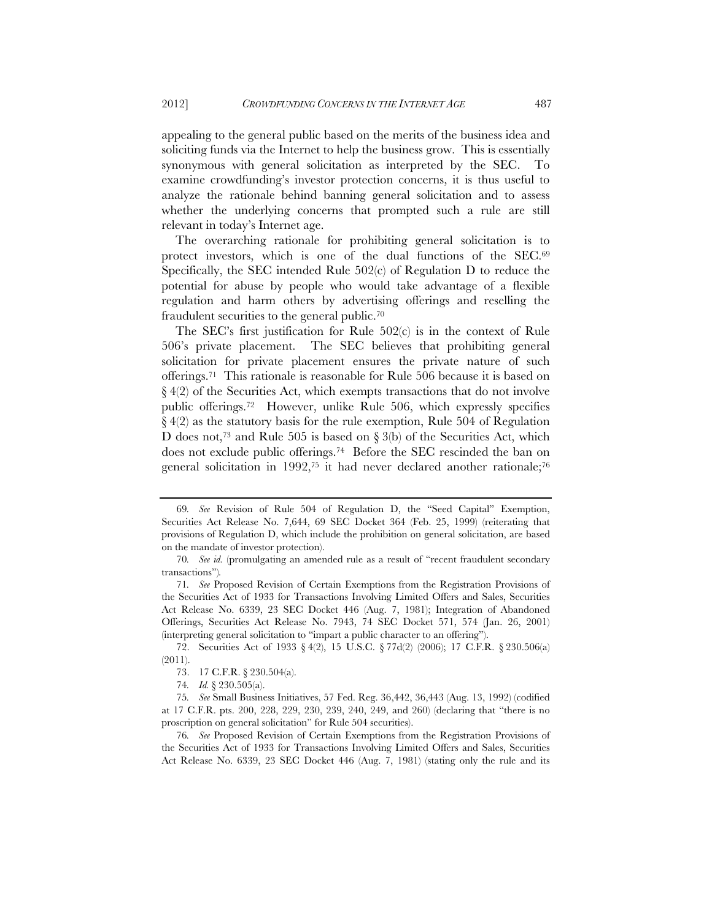appealing to the general public based on the merits of the business idea and soliciting funds via the Internet to help the business grow. This is essentially synonymous with general solicitation as interpreted by the SEC. To examine crowdfunding's investor protection concerns, it is thus useful to analyze the rationale behind banning general solicitation and to assess whether the underlying concerns that prompted such a rule are still relevant in today's Internet age.

The overarching rationale for prohibiting general solicitation is to protect investors, which is one of the dual functions of the SEC.69 Specifically, the SEC intended Rule  $502(c)$  of Regulation D to reduce the potential for abuse by people who would take advantage of a flexible regulation and harm others by advertising offerings and reselling the fraudulent securities to the general public.70

The SEC's first justification for Rule 502(c) is in the context of Rule 506's private placement. The SEC believes that prohibiting general solicitation for private placement ensures the private nature of such offerings.71 This rationale is reasonable for Rule 506 because it is based on  $\S 4(2)$  of the Securities Act, which exempts transactions that do not involve public offerings.72 However, unlike Rule 506, which expressly specifies § 4(2) as the statutory basis for the rule exemption, Rule 504 of Regulation D does not,<sup>73</sup> and Rule 505 is based on  $\S$  3(b) of the Securities Act, which does not exclude public offerings.74 Before the SEC rescinded the ban on general solicitation in 1992,<sup>75</sup> it had never declared another rationale;<sup>76</sup>

<sup>69</sup>*. See* Revision of Rule 504 of Regulation D, the "Seed Capital" Exemption, Securities Act Release No. 7,644, 69 SEC Docket 364 (Feb. 25, 1999) (reiterating that provisions of Regulation D, which include the prohibition on general solicitation, are based on the mandate of investor protection).

<sup>70</sup>*. See id.* (promulgating an amended rule as a result of "recent fraudulent secondary transactions")*.*

<sup>71</sup>*. See* Proposed Revision of Certain Exemptions from the Registration Provisions of the Securities Act of 1933 for Transactions Involving Limited Offers and Sales, Securities Act Release No. 6339, 23 SEC Docket 446 (Aug. 7, 1981); Integration of Abandoned Offerings, Securities Act Release No. 7943, 74 SEC Docket 571, 574 (Jan. 26, 2001) (interpreting general solicitation to "impart a public character to an offering").

 <sup>72.</sup> Securities Act of 1933 § 4(2), 15 U.S.C. § 77d(2) (2006); 17 C.F.R. § 230.506(a) (2011).

 <sup>73. 17</sup> C.F.R. § 230.504(a).

<sup>74</sup>*. Id.* § 230.505(a).

<sup>75</sup>*. See* Small Business Initiatives, 57 Fed. Reg. 36,442, 36,443 (Aug. 13, 1992) (codified at 17 C.F.R. pts. 200, 228, 229, 230, 239, 240, 249, and 260) (declaring that "there is no proscription on general solicitation" for Rule 504 securities).

<sup>76</sup>*. See* Proposed Revision of Certain Exemptions from the Registration Provisions of the Securities Act of 1933 for Transactions Involving Limited Offers and Sales, Securities Act Release No. 6339, 23 SEC Docket 446 (Aug. 7, 1981) (stating only the rule and its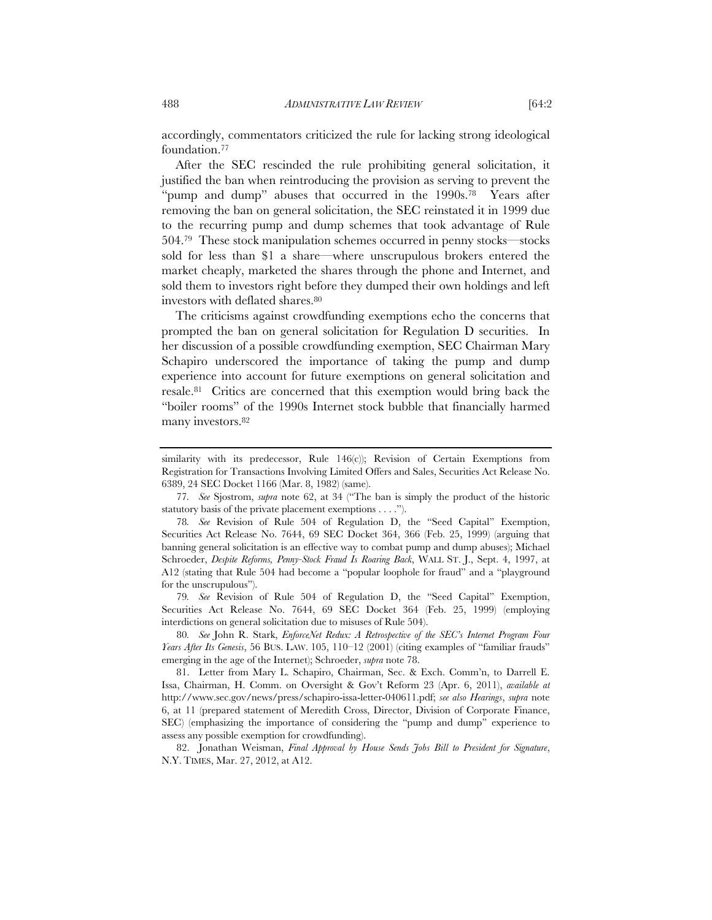accordingly, commentators criticized the rule for lacking strong ideological foundation.77

After the SEC rescinded the rule prohibiting general solicitation, it justified the ban when reintroducing the provision as serving to prevent the "pump and dump" abuses that occurred in the 1990s.78 Years after removing the ban on general solicitation, the SEC reinstated it in 1999 due to the recurring pump and dump schemes that took advantage of Rule 504.79 These stock manipulation schemes occurred in penny stocks—stocks sold for less than \$1 a share—where unscrupulous brokers entered the market cheaply, marketed the shares through the phone and Internet, and sold them to investors right before they dumped their own holdings and left investors with deflated shares.<sup>80</sup>

The criticisms against crowdfunding exemptions echo the concerns that prompted the ban on general solicitation for Regulation D securities. In her discussion of a possible crowdfunding exemption, SEC Chairman Mary Schapiro underscored the importance of taking the pump and dump experience into account for future exemptions on general solicitation and resale.81 Critics are concerned that this exemption would bring back the "boiler rooms" of the 1990s Internet stock bubble that financially harmed many investors.<sup>82</sup>

similarity with its predecessor, Rule 146(c)); Revision of Certain Exemptions from Registration for Transactions Involving Limited Offers and Sales, Securities Act Release No. 6389, 24 SEC Docket 1166 (Mar. 8, 1982) (same).

<sup>77</sup>*. See* Sjostrom, *supra* note 62, at 34 ("The ban is simply the product of the historic statutory basis of the private placement exemptions . . . .").

<sup>78</sup>*. See* Revision of Rule 504 of Regulation D, the "Seed Capital" Exemption, Securities Act Release No. 7644, 69 SEC Docket 364, 366 (Feb. 25, 1999) (arguing that banning general solicitation is an effective way to combat pump and dump abuses); Michael Schroeder, *Despite Reforms, Penny-Stock Fraud Is Roaring Back*, WALL ST. J., Sept. 4, 1997, at A12 (stating that Rule 504 had become a "popular loophole for fraud" and a "playground for the unscrupulous").

<sup>79</sup>*. See* Revision of Rule 504 of Regulation D, the "Seed Capital" Exemption, Securities Act Release No. 7644, 69 SEC Docket 364 (Feb. 25, 1999) (employing interdictions on general solicitation due to misuses of Rule 504).

<sup>80</sup>*. See* John R. Stark, *EnforceNet Redux: A Retrospective of the SEC's Internet Program Four Years After Its Genesis*, 56 BUS. LAW. 105, 110–12 (2001) (citing examples of "familiar frauds" emerging in the age of the Internet); Schroeder, *supra* note 78.

 <sup>81.</sup> Letter from Mary L. Schapiro, Chairman, Sec. & Exch. Comm'n, to Darrell E. Issa, Chairman, H. Comm. on Oversight & Gov't Reform 23 (Apr. 6, 2011), *available at*  http://www.sec.gov/news/press/schapiro-issa-letter-040611.pdf; *see also Hearings*, *supra* note 6, at 11 (prepared statement of Meredith Cross, Director, Division of Corporate Finance, SEC) (emphasizing the importance of considering the "pump and dump" experience to assess any possible exemption for crowdfunding).

 <sup>82.</sup> Jonathan Weisman, *Final Approval by House Sends Jobs Bill to President for Signature*, N.Y. TIMES, Mar. 27, 2012, at A12.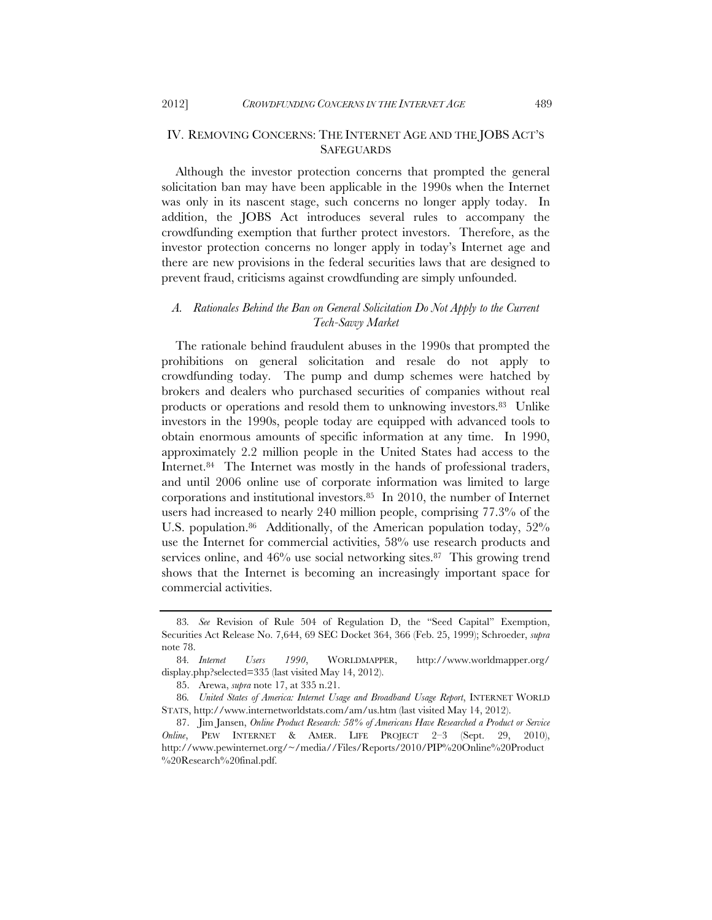## IV. REMOVING CONCERNS: THE INTERNET AGE AND THE JOBS ACT'S **SAFEGUARDS**

Although the investor protection concerns that prompted the general solicitation ban may have been applicable in the 1990s when the Internet was only in its nascent stage, such concerns no longer apply today. In addition, the JOBS Act introduces several rules to accompany the crowdfunding exemption that further protect investors. Therefore, as the investor protection concerns no longer apply in today's Internet age and there are new provisions in the federal securities laws that are designed to prevent fraud, criticisms against crowdfunding are simply unfounded.

# *A. Rationales Behind the Ban on General Solicitation Do Not Apply to the Current Tech-Savvy Market*

The rationale behind fraudulent abuses in the 1990s that prompted the prohibitions on general solicitation and resale do not apply to crowdfunding today. The pump and dump schemes were hatched by brokers and dealers who purchased securities of companies without real products or operations and resold them to unknowing investors.<sup>83</sup> Unlike investors in the 1990s, people today are equipped with advanced tools to obtain enormous amounts of specific information at any time. In 1990, approximately 2.2 million people in the United States had access to the Internet.<sup>84</sup> The Internet was mostly in the hands of professional traders, and until 2006 online use of corporate information was limited to large corporations and institutional investors.85 In 2010, the number of Internet users had increased to nearly 240 million people, comprising 77.3% of the U.S. population.<sup>86</sup> Additionally, of the American population today, 52% use the Internet for commercial activities, 58% use research products and services online, and 46% use social networking sites.<sup>87</sup> This growing trend shows that the Internet is becoming an increasingly important space for commercial activities.

<sup>83</sup>*. See* Revision of Rule 504 of Regulation D, the "Seed Capital" Exemption, Securities Act Release No. 7,644, 69 SEC Docket 364, 366 (Feb. 25, 1999); Schroeder, *supra* note 78.

<sup>84</sup>*. Internet Users 1990*, WORLDMAPPER, http://www.worldmapper.org/ display.php?selected=335 (last visited May 14, 2012).

 <sup>85.</sup> Arewa, *supra* note 17, at 335 n.21.

<sup>86</sup>*. United States of America: Internet Usage and Broadband Usage Report*, INTERNET WORLD STATS, http://www.internetworldstats.com/am/us.htm (last visited May 14, 2012).

 <sup>87.</sup> Jim Jansen, *Online Product Research: 58% of Americans Have Researched a Product or Service Online*, PEW INTERNET & AMER. LIFE PROJECT 2–3 (Sept. 29, 2010), http://www.pewinternet.org/~/media//Files/Reports/2010/PIP%20Online%20Product %20Research%20final.pdf.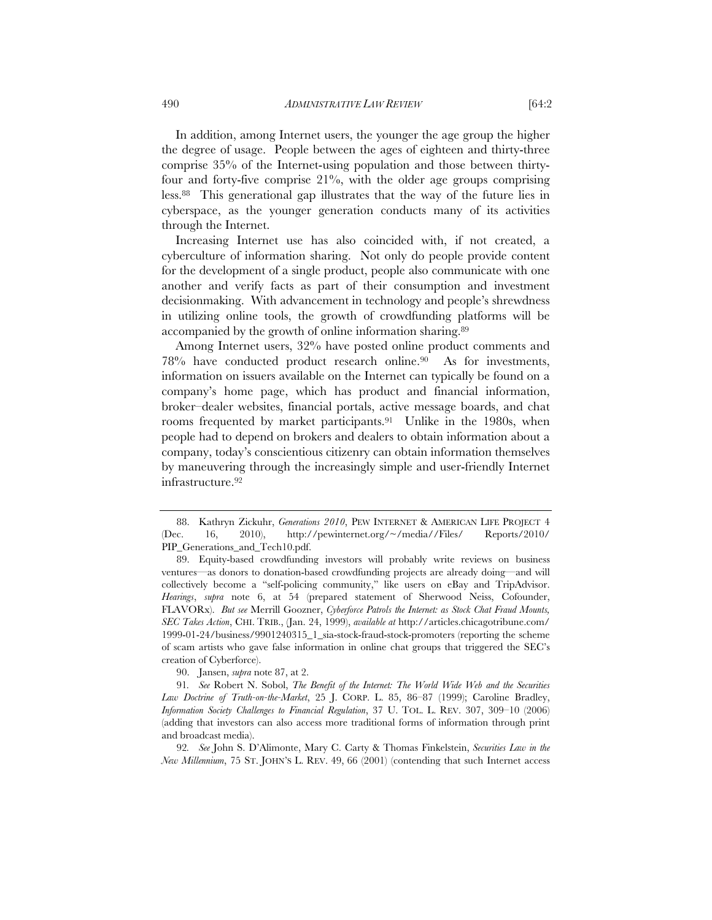In addition, among Internet users, the younger the age group the higher the degree of usage. People between the ages of eighteen and thirty-three comprise 35% of the Internet-using population and those between thirtyfour and forty-five comprise 21%, with the older age groups comprising less.88 This generational gap illustrates that the way of the future lies in cyberspace, as the younger generation conducts many of its activities through the Internet.

Increasing Internet use has also coincided with, if not created, a cyberculture of information sharing. Not only do people provide content for the development of a single product, people also communicate with one another and verify facts as part of their consumption and investment decisionmaking. With advancement in technology and people's shrewdness in utilizing online tools, the growth of crowdfunding platforms will be accompanied by the growth of online information sharing.89

Among Internet users, 32% have posted online product comments and 78% have conducted product research online.90 As for investments, information on issuers available on the Internet can typically be found on a company's home page, which has product and financial information, broker–dealer websites, financial portals, active message boards, and chat rooms frequented by market participants.91 Unlike in the 1980s, when people had to depend on brokers and dealers to obtain information about a company, today's conscientious citizenry can obtain information themselves by maneuvering through the increasingly simple and user-friendly Internet infrastructure.92

90. Jansen, *supra* note 87, at 2.

 <sup>88.</sup> Kathryn Zickuhr, *Generations 2010*, PEW INTERNET & AMERICAN LIFE PROJECT 4 (Dec. 16, 2010), http://pewinternet.org/~/media//Files/ Reports/2010/ PIP\_Generations\_and\_Tech10.pdf.

 <sup>89.</sup> Equity-based crowdfunding investors will probably write reviews on business ventures—as donors to donation-based crowdfunding projects are already doing—and will collectively become a "self-policing community," like users on eBay and TripAdvisor. *Hearings*, *supra* note 6, at 54 (prepared statement of Sherwood Neiss, Cofounder, FLAVORx). *But see* Merrill Goozner, *Cyberforce Patrols the Internet: as Stock Chat Fraud Mounts, SEC Takes Action*, CHI. TRIB., (Jan. 24, 1999), *available at* http://articles.chicagotribune.com/ 1999-01-24/business/9901240315\_1\_sia-stock-fraud-stock-promoters (reporting the scheme of scam artists who gave false information in online chat groups that triggered the SEC's creation of Cyberforce).

<sup>91</sup>*. See* Robert N. Sobol, *The Benefit of the Internet: The World Wide Web and the Securities Law Doctrine of Truth-on-the-Market*, 25 J. CORP. L. 85, 86–87 (1999); Caroline Bradley, *Information Society Challenges to Financial Regulation*, 37 U. TOL. L. REV. 307, 309–10 (2006) (adding that investors can also access more traditional forms of information through print and broadcast media).

<sup>92</sup>*. See* John S. D'Alimonte, Mary C. Carty & Thomas Finkelstein, *Securities Law in the New Millennium*, 75 ST. JOHN'S L. REV. 49, 66 (2001) (contending that such Internet access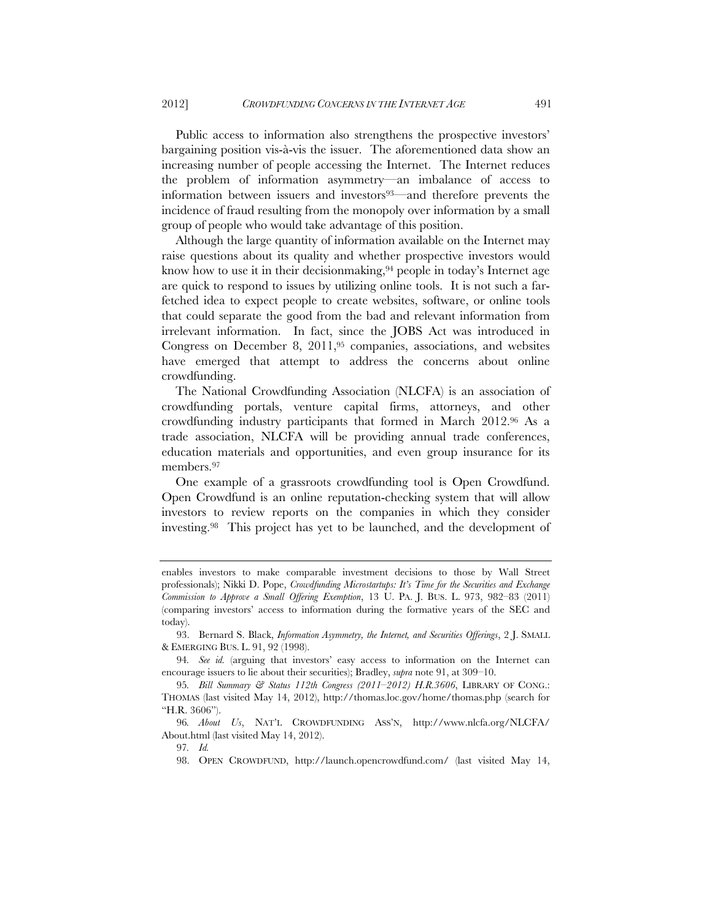Public access to information also strengthens the prospective investors' bargaining position vis-à-vis the issuer. The aforementioned data show an increasing number of people accessing the Internet. The Internet reduces the problem of information asymmetry—an imbalance of access to information between issuers and investors93—and therefore prevents the incidence of fraud resulting from the monopoly over information by a small group of people who would take advantage of this position.

Although the large quantity of information available on the Internet may raise questions about its quality and whether prospective investors would know how to use it in their decision making,  $94$  people in today's Internet age are quick to respond to issues by utilizing online tools. It is not such a farfetched idea to expect people to create websites, software, or online tools that could separate the good from the bad and relevant information from irrelevant information. In fact, since the JOBS Act was introduced in Congress on December 8, 2011,95 companies, associations, and websites have emerged that attempt to address the concerns about online crowdfunding.

The National Crowdfunding Association (NLCFA) is an association of crowdfunding portals, venture capital firms, attorneys, and other crowdfunding industry participants that formed in March 2012.96 As a trade association, NLCFA will be providing annual trade conferences, education materials and opportunities, and even group insurance for its members.97

One example of a grassroots crowdfunding tool is Open Crowdfund. Open Crowdfund is an online reputation-checking system that will allow investors to review reports on the companies in which they consider investing.98 This project has yet to be launched, and the development of

97*. Id.*

enables investors to make comparable investment decisions to those by Wall Street professionals); Nikki D. Pope, *Crowdfunding Microstartups: It's Time for the Securities and Exchange Commission to Approve a Small Offering Exemption*, 13 U. PA. J. BUS. L. 973, 982–83 (2011) (comparing investors' access to information during the formative years of the SEC and today).

 <sup>93.</sup> Bernard S. Black, *Information Asymmetry, the Internet, and Securities Offerings*, 2 J. SMALL & EMERGING BUS. L. 91, 92 (1998).

<sup>94</sup>*. See id.* (arguing that investors' easy access to information on the Internet can encourage issuers to lie about their securities); Bradley, *supra* note 91, at 309–10.

<sup>95</sup>*. Bill Summary & Status 112th Congress (2011–2012) H.R.3606*, LIBRARY OF CONG.: THOMAS (last visited May 14, 2012), http://thomas.loc.gov/home/thomas.php (search for "H.R. 3606").

<sup>96</sup>*. About Us*, NAT'L CROWDFUNDING ASS'N, http://www.nlcfa.org/NLCFA/ About.html (last visited May 14, 2012).

 <sup>98.</sup> OPEN CROWDFUND, http://launch.opencrowdfund.com/ (last visited May 14,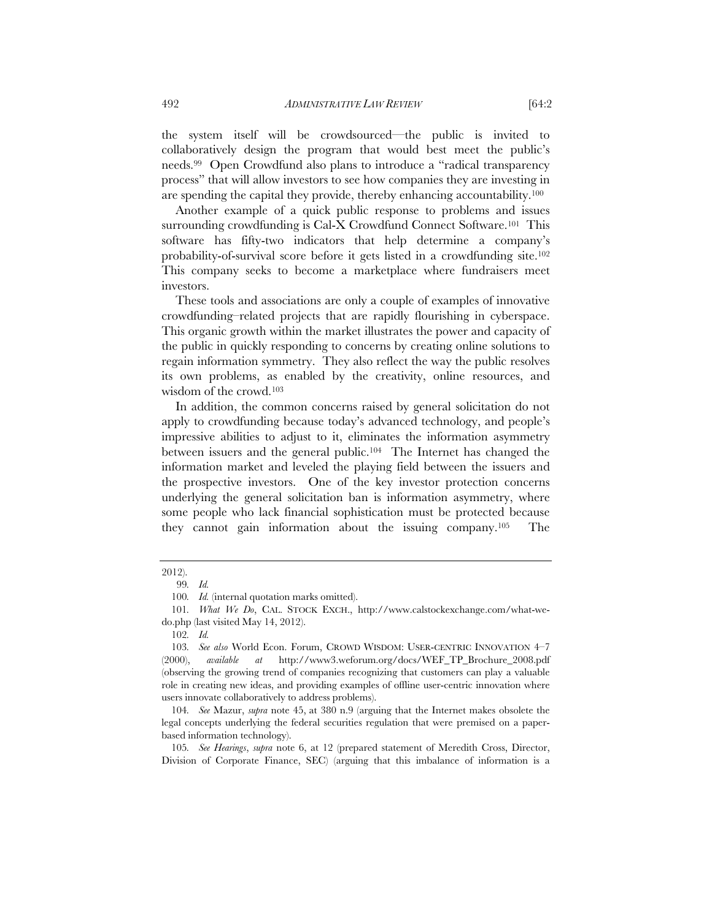the system itself will be crowdsourced—the public is invited to collaboratively design the program that would best meet the public's needs.99 Open Crowdfund also plans to introduce a "radical transparency process" that will allow investors to see how companies they are investing in are spending the capital they provide, thereby enhancing accountability.100

Another example of a quick public response to problems and issues surrounding crowdfunding is Cal-X Crowdfund Connect Software.<sup>101</sup> This software has fifty-two indicators that help determine a company's probability-of-survival score before it gets listed in a crowdfunding site.102 This company seeks to become a marketplace where fundraisers meet investors.

These tools and associations are only a couple of examples of innovative crowdfunding–related projects that are rapidly flourishing in cyberspace. This organic growth within the market illustrates the power and capacity of the public in quickly responding to concerns by creating online solutions to regain information symmetry. They also reflect the way the public resolves its own problems, as enabled by the creativity, online resources, and wisdom of the crowd.103

In addition, the common concerns raised by general solicitation do not apply to crowdfunding because today's advanced technology, and people's impressive abilities to adjust to it, eliminates the information asymmetry between issuers and the general public.104 The Internet has changed the information market and leveled the playing field between the issuers and the prospective investors. One of the key investor protection concerns underlying the general solicitation ban is information asymmetry, where some people who lack financial sophistication must be protected because they cannot gain information about the issuing company.105 The

105*. See Hearings*, *supra* note 6, at 12 (prepared statement of Meredith Cross, Director, Division of Corporate Finance, SEC) (arguing that this imbalance of information is a

<sup>2012).</sup> 

<sup>99</sup>*. Id.*

<sup>100</sup>*. Id.* (internal quotation marks omitted).

<sup>101</sup>*. What We Do*, CAL. STOCK EXCH., http://www.calstockexchange.com/what-wedo.php (last visited May 14, 2012).

<sup>102</sup>*. Id.*

<sup>103</sup>*. See also* World Econ. Forum, CROWD WISDOM: USER-CENTRIC INNOVATION 4–7 (2000), *available at* http://www3.weforum.org/docs/WEF\_TP\_Brochure\_2008.pdf (observing the growing trend of companies recognizing that customers can play a valuable role in creating new ideas, and providing examples of offline user-centric innovation where users innovate collaboratively to address problems).

<sup>104</sup>*. See* Mazur, *supra* note 45, at 380 n.9 (arguing that the Internet makes obsolete the legal concepts underlying the federal securities regulation that were premised on a paperbased information technology).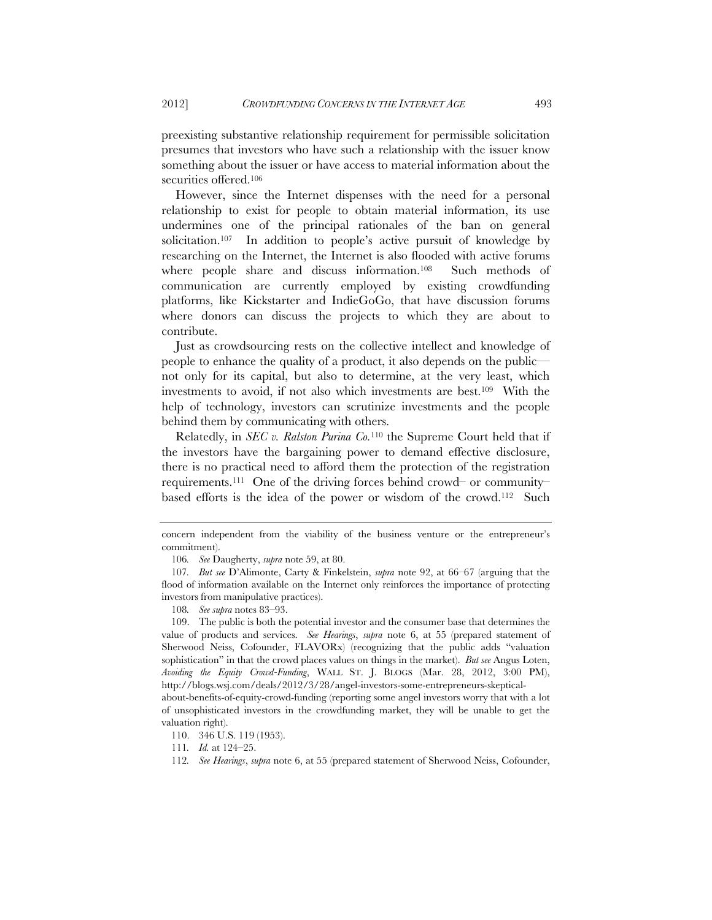preexisting substantive relationship requirement for permissible solicitation presumes that investors who have such a relationship with the issuer know something about the issuer or have access to material information about the securities offered.106

However, since the Internet dispenses with the need for a personal relationship to exist for people to obtain material information, its use undermines one of the principal rationales of the ban on general solicitation.107 In addition to people's active pursuit of knowledge by researching on the Internet, the Internet is also flooded with active forums where people share and discuss information.<sup>108</sup> Such methods of communication are currently employed by existing crowdfunding platforms, like Kickstarter and IndieGoGo, that have discussion forums where donors can discuss the projects to which they are about to contribute.

Just as crowdsourcing rests on the collective intellect and knowledge of people to enhance the quality of a product, it also depends on the public not only for its capital, but also to determine, at the very least, which investments to avoid, if not also which investments are best.109 With the help of technology, investors can scrutinize investments and the people behind them by communicating with others.

Relatedly, in *SEC v. Ralston Purina Co.*110 the Supreme Court held that if the investors have the bargaining power to demand effective disclosure, there is no practical need to afford them the protection of the registration requirements.111 One of the driving forces behind crowd– or community– based efforts is the idea of the power or wisdom of the crowd.112 Such

concern independent from the viability of the business venture or the entrepreneur's commitment).

<sup>106</sup>*. See* Daugherty, *supra* note 59, at 80.

<sup>107</sup>*. But see* D'Alimonte, Carty & Finkelstein, *supra* note 92, at 66–67 (arguing that the flood of information available on the Internet only reinforces the importance of protecting investors from manipulative practices).

<sup>108</sup>*. See supra* notes 83–93.

 <sup>109.</sup> The public is both the potential investor and the consumer base that determines the value of products and services. *See Hearings*, *supra* note 6, at 55 (prepared statement of Sherwood Neiss, Cofounder, FLAVORx) (recognizing that the public adds "valuation sophistication" in that the crowd places values on things in the market). *But see* Angus Loten, *Avoiding the Equity Crowd-Funding*, WALL ST. J. BLOGS (Mar. 28, 2012, 3:00 PM), http://blogs.wsj.com/deals/2012/3/28/angel-investors-some-entrepreneurs-skeptical-

about-benefits-of-equity-crowd-funding (reporting some angel investors worry that with a lot of unsophisticated investors in the crowdfunding market, they will be unable to get the valuation right).

 <sup>110. 346</sup> U.S. 119 (1953).

<sup>111</sup>*. Id.* at 124–25.

<sup>112</sup>*. See Hearings*, *supra* note 6, at 55 (prepared statement of Sherwood Neiss, Cofounder,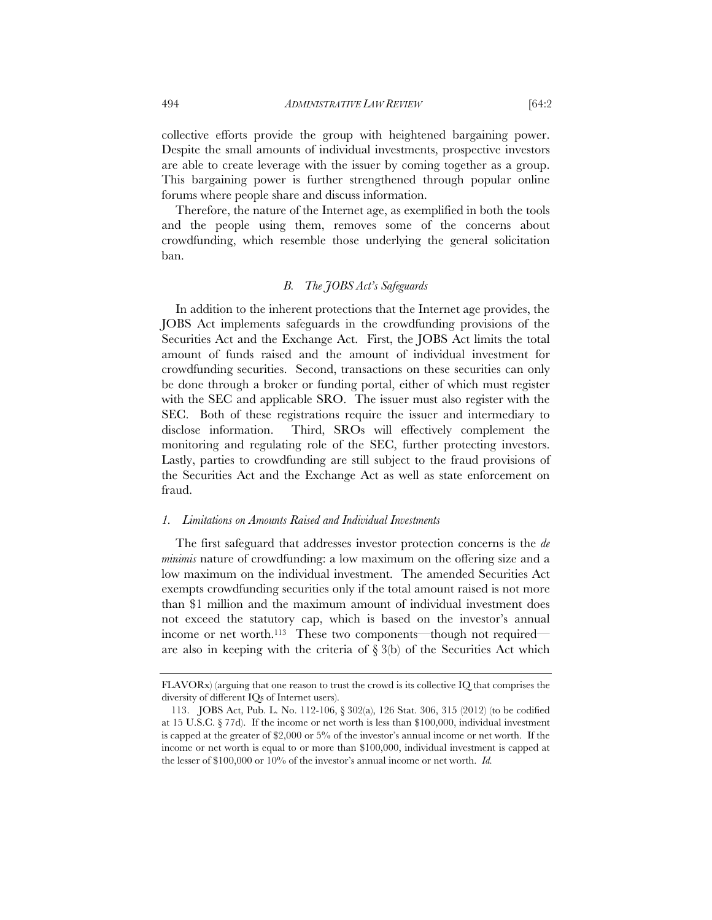collective efforts provide the group with heightened bargaining power. Despite the small amounts of individual investments, prospective investors are able to create leverage with the issuer by coming together as a group. This bargaining power is further strengthened through popular online forums where people share and discuss information.

Therefore, the nature of the Internet age, as exemplified in both the tools and the people using them, removes some of the concerns about crowdfunding, which resemble those underlying the general solicitation ban.

## *B. The JOBS Act's Safeguards*

In addition to the inherent protections that the Internet age provides, the JOBS Act implements safeguards in the crowdfunding provisions of the Securities Act and the Exchange Act. First, the JOBS Act limits the total amount of funds raised and the amount of individual investment for crowdfunding securities. Second, transactions on these securities can only be done through a broker or funding portal, either of which must register with the SEC and applicable SRO. The issuer must also register with the SEC. Both of these registrations require the issuer and intermediary to disclose information. Third, SROs will effectively complement the monitoring and regulating role of the SEC, further protecting investors. Lastly, parties to crowdfunding are still subject to the fraud provisions of the Securities Act and the Exchange Act as well as state enforcement on fraud.

#### *1. Limitations on Amounts Raised and Individual Investments*

The first safeguard that addresses investor protection concerns is the *de minimis* nature of crowdfunding: a low maximum on the offering size and a low maximum on the individual investment. The amended Securities Act exempts crowdfunding securities only if the total amount raised is not more than \$1 million and the maximum amount of individual investment does not exceed the statutory cap, which is based on the investor's annual income or net worth.<sup>113</sup> These two components—though not required are also in keeping with the criteria of  $\S 3(b)$  of the Securities Act which

FLAVORx) (arguing that one reason to trust the crowd is its collective IQ that comprises the diversity of different IQs of Internet users).

 <sup>113.</sup> JOBS Act, Pub. L. No. 112-106, § 302(a), 126 Stat. 306, 315 (2012) (to be codified at 15 U.S.C. § 77d). If the income or net worth is less than \$100,000, individual investment is capped at the greater of \$2,000 or 5% of the investor's annual income or net worth. If the income or net worth is equal to or more than \$100,000, individual investment is capped at the lesser of \$100,000 or 10% of the investor's annual income or net worth. *Id.*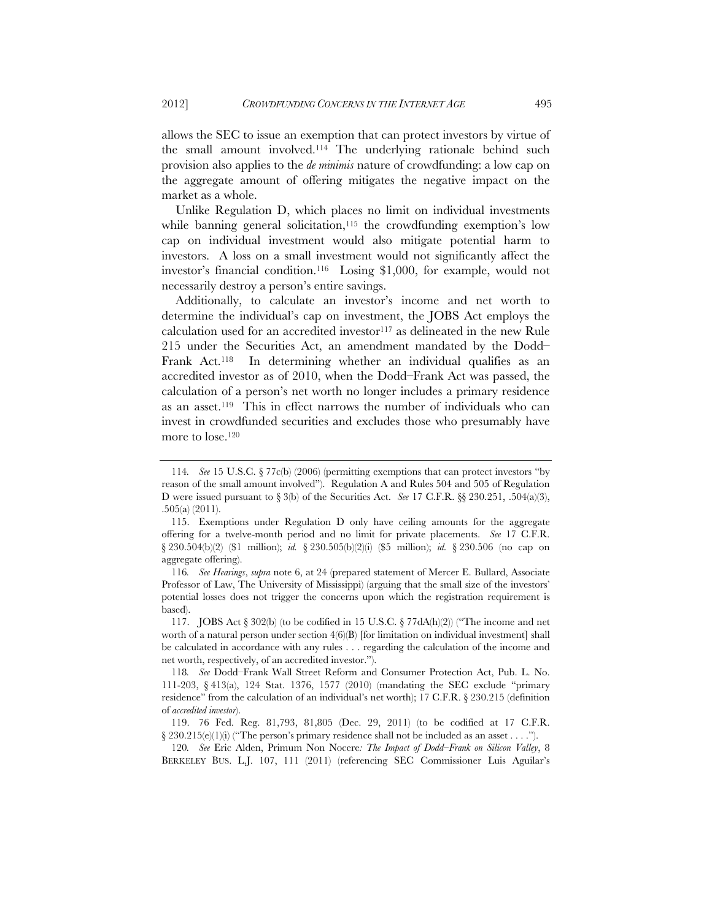allows the SEC to issue an exemption that can protect investors by virtue of the small amount involved.114 The underlying rationale behind such provision also applies to the *de minimis* nature of crowdfunding: a low cap on the aggregate amount of offering mitigates the negative impact on the market as a whole.

Unlike Regulation D, which places no limit on individual investments while banning general solicitation,<sup>115</sup> the crowdfunding exemption's low cap on individual investment would also mitigate potential harm to investors. A loss on a small investment would not significantly affect the investor's financial condition.116 Losing \$1,000, for example, would not necessarily destroy a person's entire savings.

Additionally, to calculate an investor's income and net worth to determine the individual's cap on investment, the JOBS Act employs the calculation used for an accredited investor<sup>117</sup> as delineated in the new Rule 215 under the Securities Act, an amendment mandated by the Dodd– Frank Act.118 In determining whether an individual qualifies as an accredited investor as of 2010, when the Dodd–Frank Act was passed, the calculation of a person's net worth no longer includes a primary residence as an asset.119 This in effect narrows the number of individuals who can invest in crowdfunded securities and excludes those who presumably have more to lose.120

<sup>114</sup>*. See* 15 U.S.C. § 77c(b) (2006) (permitting exemptions that can protect investors "by reason of the small amount involved"). Regulation A and Rules 504 and 505 of Regulation D were issued pursuant to § 3(b) of the Securities Act. *See* 17 C.F.R. §§ 230.251, .504(a)(3), .505(a) (2011).

 <sup>115.</sup> Exemptions under Regulation D only have ceiling amounts for the aggregate offering for a twelve-month period and no limit for private placements. *See* 17 C.F.R. § 230.504(b)(2) (\$1 million); *id.* § 230.505(b)(2)(i) (\$5 million); *id.* § 230.506 (no cap on aggregate offering).

<sup>116</sup>*. See Hearings*, *supra* note 6, at 24 (prepared statement of Mercer E. Bullard, Associate Professor of Law, The University of Mississippi) (arguing that the small size of the investors' potential losses does not trigger the concerns upon which the registration requirement is based).

<sup>117.</sup> JOBS Act  $\S 302(b)$  (to be codified in 15 U.S.C.  $\S 77dA(h/2)$ ) ("The income and net worth of a natural person under section  $4(6)$ (B) [for limitation on individual investment] shall be calculated in accordance with any rules . . . regarding the calculation of the income and net worth, respectively, of an accredited investor.").

<sup>118</sup>*. See* Dodd–Frank Wall Street Reform and Consumer Protection Act, Pub. L. No. 111-203, § 413(a), 124 Stat. 1376, 1577 (2010) (mandating the SEC exclude "primary residence" from the calculation of an individual's net worth); 17 C.F.R. § 230.215 (definition of *accredited investor*).

 <sup>119. 76</sup> Fed. Reg. 81,793, 81,805 (Dec. 29, 2011) (to be codified at 17 C.F.R.  $\S 230.215(e)(1)(i)$  ("The person's primary residence shall not be included as an asset . . . .").

<sup>120</sup>*. See* Eric Alden, Primum Non Nocere*: The Impact of Dodd–Frank on Silicon Valley*, 8 BERKELEY BUS. L.J. 107, 111 (2011) (referencing SEC Commissioner Luis Aguilar's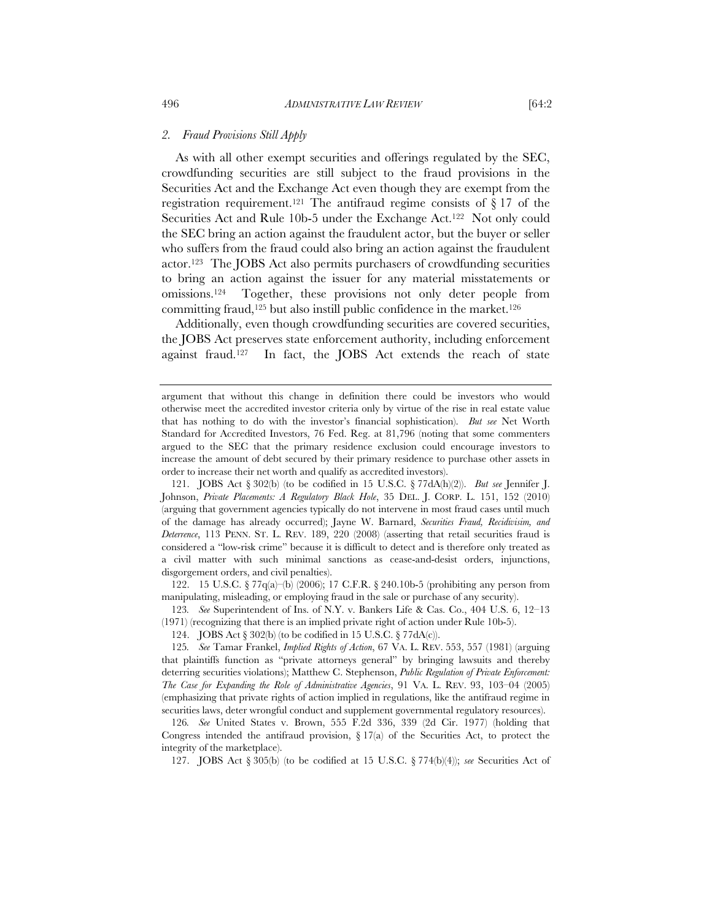#### *2. Fraud Provisions Still Apply*

As with all other exempt securities and offerings regulated by the SEC, crowdfunding securities are still subject to the fraud provisions in the Securities Act and the Exchange Act even though they are exempt from the registration requirement.<sup>121</sup> The antifraud regime consists of  $\S 17$  of the Securities Act and Rule 10b-5 under the Exchange Act.122 Not only could the SEC bring an action against the fraudulent actor, but the buyer or seller who suffers from the fraud could also bring an action against the fraudulent actor.123 The JOBS Act also permits purchasers of crowdfunding securities to bring an action against the issuer for any material misstatements or omissions.124 Together, these provisions not only deter people from committing fraud,125 but also instill public confidence in the market.126

Additionally, even though crowdfunding securities are covered securities, the JOBS Act preserves state enforcement authority, including enforcement against fraud.127 In fact, the JOBS Act extends the reach of state

 121. JOBS Act § 302(b) (to be codified in 15 U.S.C. § 77dA(h)(2)). *But see* Jennifer J. Johnson, *Private Placements: A Regulatory Black Hole*, 35 DEL. J. CORP. L. 151, 152 (2010) (arguing that government agencies typically do not intervene in most fraud cases until much of the damage has already occurred); Jayne W. Barnard, *Securities Fraud, Recidivisim, and Deterrence*, 113 PENN. ST. L. REV. 189, 220 (2008) (asserting that retail securities fraud is considered a "low-risk crime" because it is difficult to detect and is therefore only treated as a civil matter with such minimal sanctions as cease-and-desist orders, injunctions, disgorgement orders, and civil penalties).

 122. 15 U.S.C. § 77q(a)–(b) (2006); 17 C.F.R. § 240.10b-5 (prohibiting any person from manipulating, misleading, or employing fraud in the sale or purchase of any security).

123*. See* Superintendent of Ins. of N.Y. v. Bankers Life & Cas. Co., 404 U.S. 6, 12–13 (1971) (recognizing that there is an implied private right of action under Rule 10b-5).

124. JOBS Act § 302(b) (to be codified in 15 U.S.C. § 77dA(c)).

125*. See* Tamar Frankel, *Implied Rights of Action*, 67 VA. L. REV. 553, 557 (1981) (arguing that plaintiffs function as "private attorneys general" by bringing lawsuits and thereby deterring securities violations); Matthew C. Stephenson, *Public Regulation of Private Enforcement: The Case for Expanding the Role of Administrative Agencies*, 91 VA. L. REV. 93, 103–04 (2005) (emphasizing that private rights of action implied in regulations, like the antifraud regime in securities laws, deter wrongful conduct and supplement governmental regulatory resources).

126*. See* United States v. Brown, 555 F.2d 336, 339 (2d Cir. 1977) (holding that Congress intended the antifraud provision,  $\S 17(a)$  of the Securities Act, to protect the integrity of the marketplace).

127. JOBS Act § 305(b) (to be codified at 15 U.S.C. § 774(b)(4)); *see* Securities Act of

argument that without this change in definition there could be investors who would otherwise meet the accredited investor criteria only by virtue of the rise in real estate value that has nothing to do with the investor's financial sophistication). *But see* Net Worth Standard for Accredited Investors, 76 Fed. Reg. at 81,796 (noting that some commenters argued to the SEC that the primary residence exclusion could encourage investors to increase the amount of debt secured by their primary residence to purchase other assets in order to increase their net worth and qualify as accredited investors).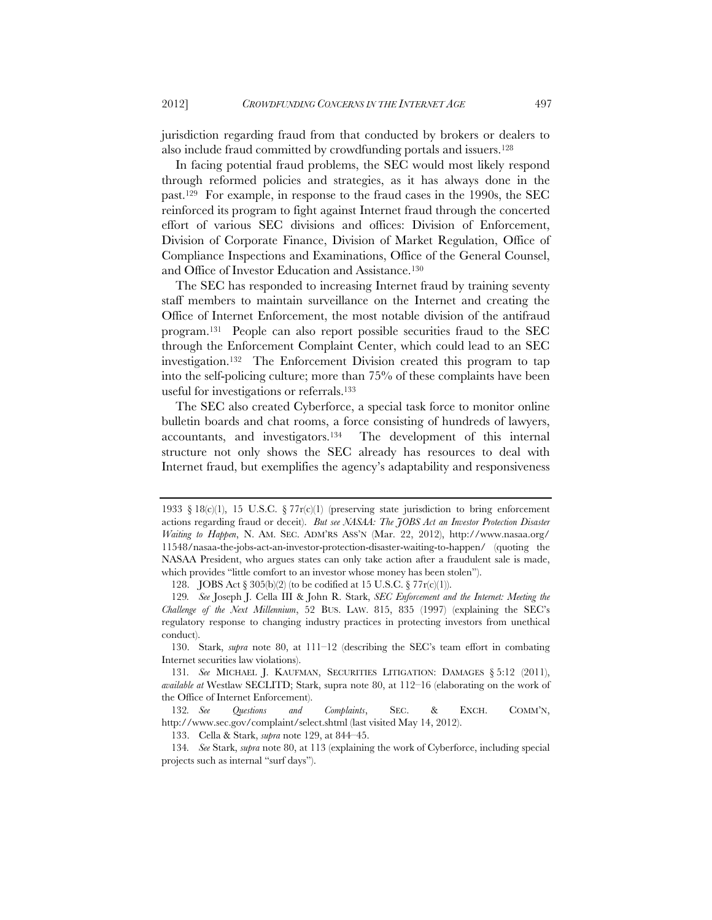jurisdiction regarding fraud from that conducted by brokers or dealers to also include fraud committed by crowdfunding portals and issuers.128

In facing potential fraud problems, the SEC would most likely respond through reformed policies and strategies, as it has always done in the past.129 For example, in response to the fraud cases in the 1990s, the SEC reinforced its program to fight against Internet fraud through the concerted effort of various SEC divisions and offices: Division of Enforcement, Division of Corporate Finance, Division of Market Regulation, Office of Compliance Inspections and Examinations, Office of the General Counsel, and Office of Investor Education and Assistance.130

The SEC has responded to increasing Internet fraud by training seventy staff members to maintain surveillance on the Internet and creating the Office of Internet Enforcement, the most notable division of the antifraud program.131 People can also report possible securities fraud to the SEC through the Enforcement Complaint Center, which could lead to an SEC investigation.132 The Enforcement Division created this program to tap into the self-policing culture; more than 75% of these complaints have been useful for investigations or referrals.133

The SEC also created Cyberforce, a special task force to monitor online bulletin boards and chat rooms, a force consisting of hundreds of lawyers, accountants, and investigators.134 The development of this internal structure not only shows the SEC already has resources to deal with Internet fraud, but exemplifies the agency's adaptability and responsiveness

 130. Stark, *supra* note 80, at 111–12 (describing the SEC's team effort in combating Internet securities law violations).

131*. See* MICHAEL J. KAUFMAN, SECURITIES LITIGATION: DAMAGES § 5:12 (2011), *available at* Westlaw SECLITD; Stark, supra note 80, at 112–16 (elaborating on the work of the Office of Internet Enforcement).

132*. See Questions and Complaints*, SEC. & EXCH. COMM'N, http://www.sec.gov/complaint/select.shtml (last visited May 14, 2012).

133. Cella & Stark, *supra* note 129, at 844–45.

134*. See* Stark, *supra* note 80, at 113 (explaining the work of Cyberforce, including special projects such as internal "surf days").

<sup>1933 § 18(</sup>c)(1), 15 U.S.C. § 77r(c)(1) (preserving state jurisdiction to bring enforcement actions regarding fraud or deceit). *But see NASAA: The JOBS Act an Investor Protection Disaster Waiting to Happen*, N. AM. SEC. ADM'RS ASS'N (Mar. 22, 2012), http://www.nasaa.org/ 11548/nasaa-the-jobs-act-an-investor-protection-disaster-waiting-to-happen/ (quoting the NASAA President, who argues states can only take action after a fraudulent sale is made, which provides "little comfort to an investor whose money has been stolen").

 <sup>128.</sup> JOBS Act § 305(b)(2) (to be codified at 15 U.S.C. § 77r(c)(1)).

<sup>129</sup>*. See* Joseph J. Cella III & John R. Stark, *SEC Enforcement and the Internet: Meeting the Challenge of the Next Millennium*, 52 BUS. LAW. 815, 835 (1997) (explaining the SEC's regulatory response to changing industry practices in protecting investors from unethical conduct).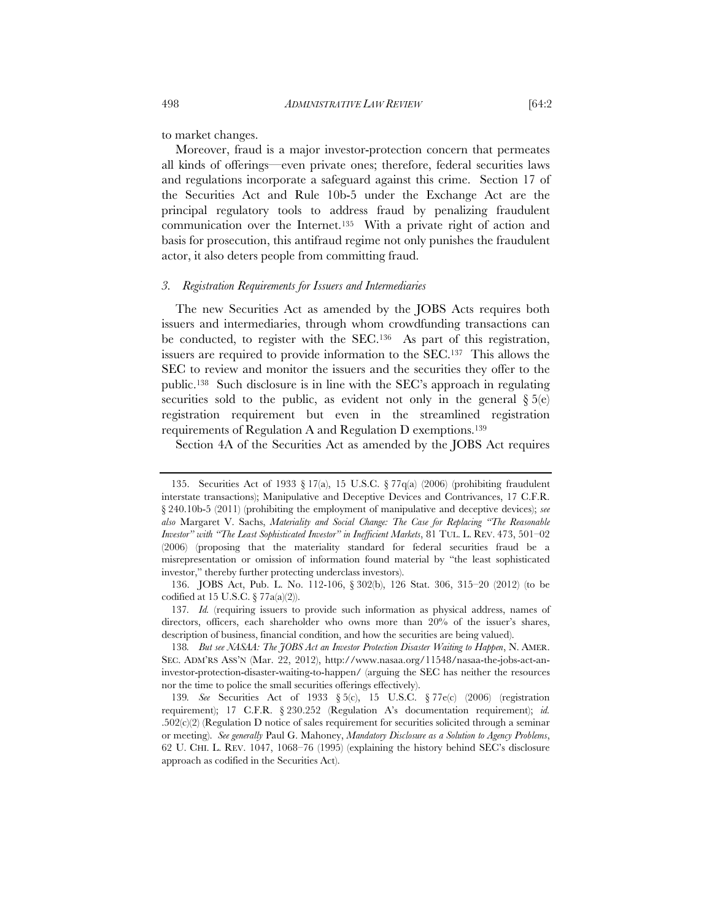to market changes.

Moreover, fraud is a major investor-protection concern that permeates all kinds of offerings—even private ones; therefore, federal securities laws and regulations incorporate a safeguard against this crime. Section 17 of the Securities Act and Rule 10b-5 under the Exchange Act are the principal regulatory tools to address fraud by penalizing fraudulent communication over the Internet.135 With a private right of action and basis for prosecution, this antifraud regime not only punishes the fraudulent actor, it also deters people from committing fraud.

#### *3. Registration Requirements for Issuers and Intermediaries*

The new Securities Act as amended by the JOBS Acts requires both issuers and intermediaries, through whom crowdfunding transactions can be conducted, to register with the SEC.136 As part of this registration, issuers are required to provide information to the SEC.137 This allows the SEC to review and monitor the issuers and the securities they offer to the public.138 Such disclosure is in line with the SEC's approach in regulating securities sold to the public, as evident not only in the general  $\S 5(e)$ registration requirement but even in the streamlined registration requirements of Regulation A and Regulation D exemptions.139

Section 4A of the Securities Act as amended by the JOBS Act requires

 <sup>135.</sup> Securities Act of 1933 § 17(a), 15 U.S.C. § 77q(a) (2006) (prohibiting fraudulent interstate transactions); Manipulative and Deceptive Devices and Contrivances, 17 C.F.R. § 240.10b-5 (2011) (prohibiting the employment of manipulative and deceptive devices); *see also* Margaret V. Sachs, *Materiality and Social Change: The Case for Replacing "The Reasonable Investor" with "The Least Sophisticated Investor" in Inefficient Markets*, 81 TUL. L. REV. 473, 501–02 (2006) (proposing that the materiality standard for federal securities fraud be a misrepresentation or omission of information found material by "the least sophisticated investor," thereby further protecting underclass investors).

 <sup>136.</sup> JOBS Act, Pub. L. No. 112-106, § 302(b), 126 Stat. 306, 315–20 (2012) (to be codified at 15 U.S.C.  $\S 77a(a)(2)$ .

<sup>137</sup>*. Id.* (requiring issuers to provide such information as physical address, names of directors, officers, each shareholder who owns more than 20% of the issuer's shares, description of business, financial condition, and how the securities are being valued).

<sup>138</sup>*. But see NASAA: The JOBS Act an Investor Protection Disaster Waiting to Happen*, N. AMER. SEC. ADM'RS ASS'N (Mar. 22, 2012), http://www.nasaa.org/11548/nasaa-the-jobs-act-aninvestor-protection-disaster-waiting-to-happen/ (arguing the SEC has neither the resources nor the time to police the small securities offerings effectively).

<sup>139</sup>*. See* Securities Act of 1933 § 5(c), 15 U.S.C. § 77e(c) (2006) (registration requirement); 17 C.F.R. § 230.252 (Regulation A's documentation requirement); *id.*  $.502(c)(2)$  (Regulation D notice of sales requirement for securities solicited through a seminar or meeting). *See generally* Paul G. Mahoney, *Mandatory Disclosure as a Solution to Agency Problems*, 62 U. CHI. L. REV. 1047, 1068–76 (1995) (explaining the history behind SEC's disclosure approach as codified in the Securities Act).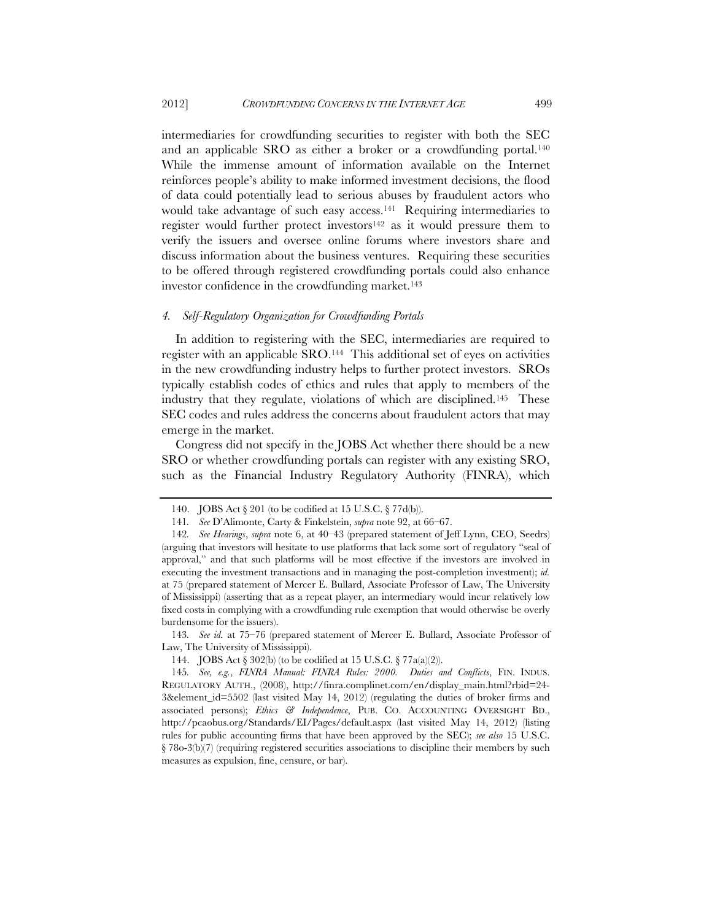intermediaries for crowdfunding securities to register with both the SEC and an applicable SRO as either a broker or a crowdfunding portal.<sup>140</sup> While the immense amount of information available on the Internet reinforces people's ability to make informed investment decisions, the flood of data could potentially lead to serious abuses by fraudulent actors who would take advantage of such easy access.141 Requiring intermediaries to register would further protect investors142 as it would pressure them to verify the issuers and oversee online forums where investors share and discuss information about the business ventures. Requiring these securities to be offered through registered crowdfunding portals could also enhance investor confidence in the crowdfunding market.<sup>143</sup>

#### *4. Self-Regulatory Organization for Crowdfunding Portals*

In addition to registering with the SEC, intermediaries are required to register with an applicable SRO.144 This additional set of eyes on activities in the new crowdfunding industry helps to further protect investors. SROs typically establish codes of ethics and rules that apply to members of the industry that they regulate, violations of which are disciplined.145 These SEC codes and rules address the concerns about fraudulent actors that may emerge in the market.

Congress did not specify in the JOBS Act whether there should be a new SRO or whether crowdfunding portals can register with any existing SRO, such as the Financial Industry Regulatory Authority (FINRA), which

 <sup>140.</sup> JOBS Act § 201 (to be codified at 15 U.S.C. § 77d(b)).

<sup>141</sup>*. See* D'Alimonte, Carty & Finkelstein, *supra* note 92, at 66–67.

<sup>142</sup>*. See Hearings*, *supra* note 6, at 40–43 (prepared statement of Jeff Lynn, CEO, Seedrs) (arguing that investors will hesitate to use platforms that lack some sort of regulatory "seal of approval," and that such platforms will be most effective if the investors are involved in executing the investment transactions and in managing the post-completion investment); *id.* at 75 (prepared statement of Mercer E. Bullard, Associate Professor of Law, The University of Mississippi) (asserting that as a repeat player, an intermediary would incur relatively low fixed costs in complying with a crowdfunding rule exemption that would otherwise be overly burdensome for the issuers).

<sup>143</sup>*. See id.* at 75–76 (prepared statement of Mercer E. Bullard, Associate Professor of Law, The University of Mississippi).

 <sup>144.</sup> JOBS Act § 302(b) (to be codified at 15 U.S.C. § 77a(a)(2)).

<sup>145</sup>*. See, e.g.*, *FINRA Manual: FINRA Rules: 2000. Duties and Conflicts*, FIN. INDUS. REGULATORY AUTH., (2008), http://finra.complinet.com/en/display\_main.html?rbid=24- 3&element\_id=5502 (last visited May 14, 2012) (regulating the duties of broker firms and associated persons); *Ethics & Independence*, PUB. CO. ACCOUNTING OVERSIGHT BD., http://pcaobus.org/Standards/EI/Pages/default.aspx (last visited May 14, 2012) (listing rules for public accounting firms that have been approved by the SEC); *see also* 15 U.S.C. § 78o-3(b)(7) (requiring registered securities associations to discipline their members by such measures as expulsion, fine, censure, or bar).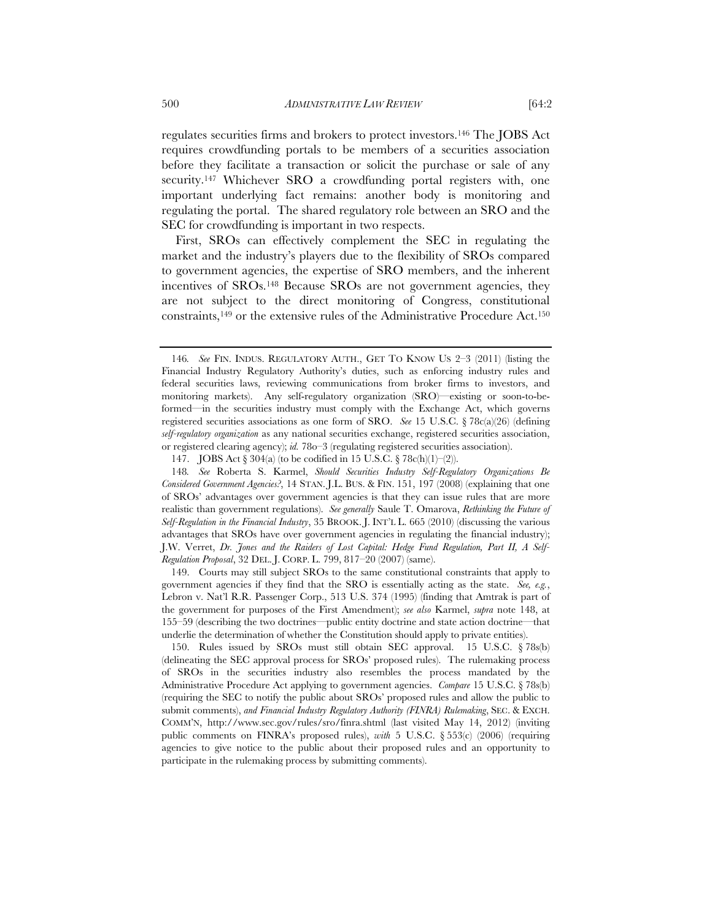regulates securities firms and brokers to protect investors.146 The JOBS Act requires crowdfunding portals to be members of a securities association before they facilitate a transaction or solicit the purchase or sale of any security.147 Whichever SRO a crowdfunding portal registers with, one important underlying fact remains: another body is monitoring and regulating the portal. The shared regulatory role between an SRO and the SEC for crowdfunding is important in two respects.

First, SROs can effectively complement the SEC in regulating the market and the industry's players due to the flexibility of SROs compared to government agencies, the expertise of SRO members, and the inherent incentives of SROs.148 Because SROs are not government agencies, they are not subject to the direct monitoring of Congress, constitutional constraints,149 or the extensive rules of the Administrative Procedure Act.150

 149. Courts may still subject SROs to the same constitutional constraints that apply to government agencies if they find that the SRO is essentially acting as the state. *See, e.g.*, Lebron v. Nat'l R.R. Passenger Corp., 513 U.S. 374 (1995) (finding that Amtrak is part of the government for purposes of the First Amendment); *see also* Karmel, *supra* note 148, at 155–59 (describing the two doctrines—public entity doctrine and state action doctrine—that underlie the determination of whether the Constitution should apply to private entities).

 150. Rules issued by SROs must still obtain SEC approval. 15 U.S.C. § 78s(b) (delineating the SEC approval process for SROs' proposed rules). The rulemaking process of SROs in the securities industry also resembles the process mandated by the Administrative Procedure Act applying to government agencies. *Compare* 15 U.S.C. § 78s(b) (requiring the SEC to notify the public about SROs' proposed rules and allow the public to submit comments), *and Financial Industry Regulatory Authority (FINRA) Rulemaking*, SEC. & EXCH. COMM'N, http://www.sec.gov/rules/sro/finra.shtml (last visited May 14, 2012) (inviting public comments on FINRA's proposed rules), *with* 5 U.S.C. § 553(c) (2006) (requiring agencies to give notice to the public about their proposed rules and an opportunity to participate in the rulemaking process by submitting comments).

<sup>146</sup>*. See* FIN. INDUS. REGULATORY AUTH., GET TO KNOW US 2–3 (2011) (listing the Financial Industry Regulatory Authority's duties, such as enforcing industry rules and federal securities laws, reviewing communications from broker firms to investors, and monitoring markets). Any self-regulatory organization (SRO)—existing or soon-to-beformed—in the securities industry must comply with the Exchange Act, which governs registered securities associations as one form of SRO. *See* 15 U.S.C. § 78c(a)(26) (defining *self-regulatory organization* as any national securities exchange, registered securities association, or registered clearing agency); *id.* 78o–3 (regulating registered securities association).

 <sup>147.</sup> JOBS Act § 304(a) (to be codified in 15 U.S.C. § 78c(h)(1)–(2)).

<sup>148</sup>*. See* Roberta S. Karmel, *Should Securities Industry Self-Regulatory Organizations Be Considered Government Agencies?*, 14 STAN. J.L. BUS. & FIN. 151, 197 (2008) (explaining that one of SROs' advantages over government agencies is that they can issue rules that are more realistic than government regulations). *See generally* Saule T. Omarova, *Rethinking the Future of Self-Regulation in the Financial Industry*, 35 BROOK. J. INT'L L. 665 (2010) (discussing the various advantages that SROs have over government agencies in regulating the financial industry); J.W. Verret, *Dr. Jones and the Raiders of Lost Capital: Hedge Fund Regulation, Part II, A Self-Regulation Proposal*, 32 DEL. J. CORP. L. 799, 817–20 (2007) (same).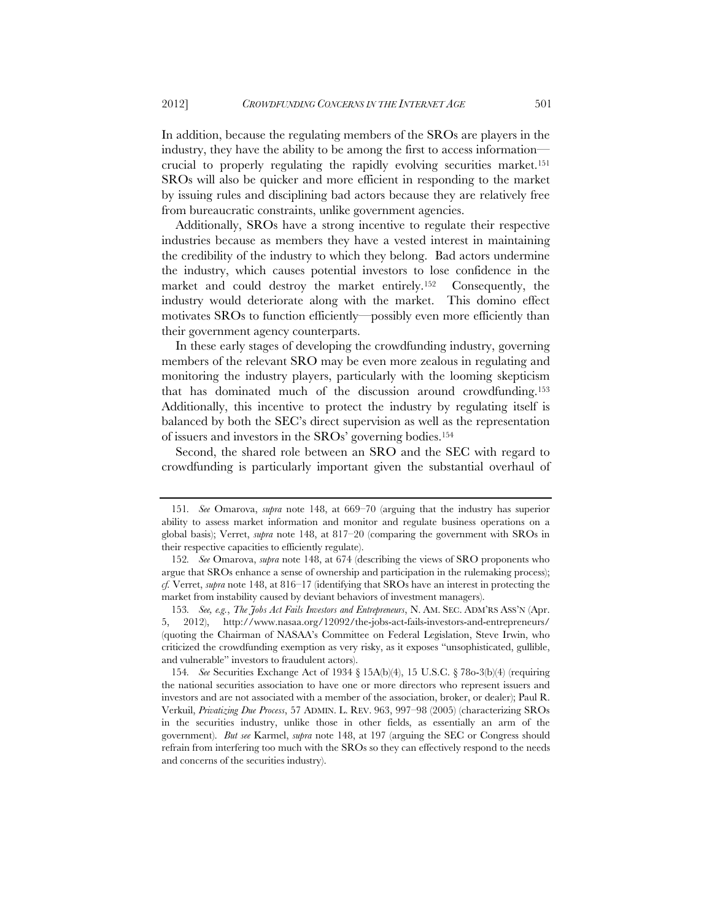In addition, because the regulating members of the SROs are players in the industry, they have the ability to be among the first to access information crucial to properly regulating the rapidly evolving securities market.151 SROs will also be quicker and more efficient in responding to the market by issuing rules and disciplining bad actors because they are relatively free from bureaucratic constraints, unlike government agencies.

Additionally, SROs have a strong incentive to regulate their respective industries because as members they have a vested interest in maintaining the credibility of the industry to which they belong. Bad actors undermine the industry, which causes potential investors to lose confidence in the market and could destroy the market entirely.152 Consequently, the industry would deteriorate along with the market. This domino effect motivates SROs to function efficiently—possibly even more efficiently than their government agency counterparts.

In these early stages of developing the crowdfunding industry, governing members of the relevant SRO may be even more zealous in regulating and monitoring the industry players, particularly with the looming skepticism that has dominated much of the discussion around crowdfunding.153 Additionally, this incentive to protect the industry by regulating itself is balanced by both the SEC's direct supervision as well as the representation of issuers and investors in the SROs' governing bodies.154

Second, the shared role between an SRO and the SEC with regard to crowdfunding is particularly important given the substantial overhaul of

<sup>151</sup>*. See* Omarova, *supra* note 148, at 669–70 (arguing that the industry has superior ability to assess market information and monitor and regulate business operations on a global basis); Verret, *supra* note 148, at 817–20 (comparing the government with SROs in their respective capacities to efficiently regulate).

<sup>152</sup>*. See* Omarova, *supra* note 148, at 674 (describing the views of SRO proponents who argue that SROs enhance a sense of ownership and participation in the rulemaking process); *cf.* Verret, *supra* note 148, at 816–17 (identifying that SROs have an interest in protecting the market from instability caused by deviant behaviors of investment managers).

<sup>153</sup>*. See, e.g.*, *The Jobs Act Fails Investors and Entrepreneurs*, N. AM. SEC. ADM'RS ASS'N (Apr. 5, 2012), http://www.nasaa.org/12092/the-jobs-act-fails-investors-and-entrepreneurs/ (quoting the Chairman of NASAA's Committee on Federal Legislation, Steve Irwin, who criticized the crowdfunding exemption as very risky, as it exposes "unsophisticated, gullible, and vulnerable" investors to fraudulent actors).

<sup>154</sup>*. See* Securities Exchange Act of 1934 § 15A(b)(4), 15 U.S.C. § 78o-3(b)(4) (requiring the national securities association to have one or more directors who represent issuers and investors and are not associated with a member of the association, broker, or dealer); Paul R. Verkuil, *Privatizing Due Process*, 57 ADMIN. L. REV. 963, 997–98 (2005) (characterizing SROs in the securities industry, unlike those in other fields, as essentially an arm of the government). *But see* Karmel, *supra* note 148, at 197 (arguing the SEC or Congress should refrain from interfering too much with the SROs so they can effectively respond to the needs and concerns of the securities industry).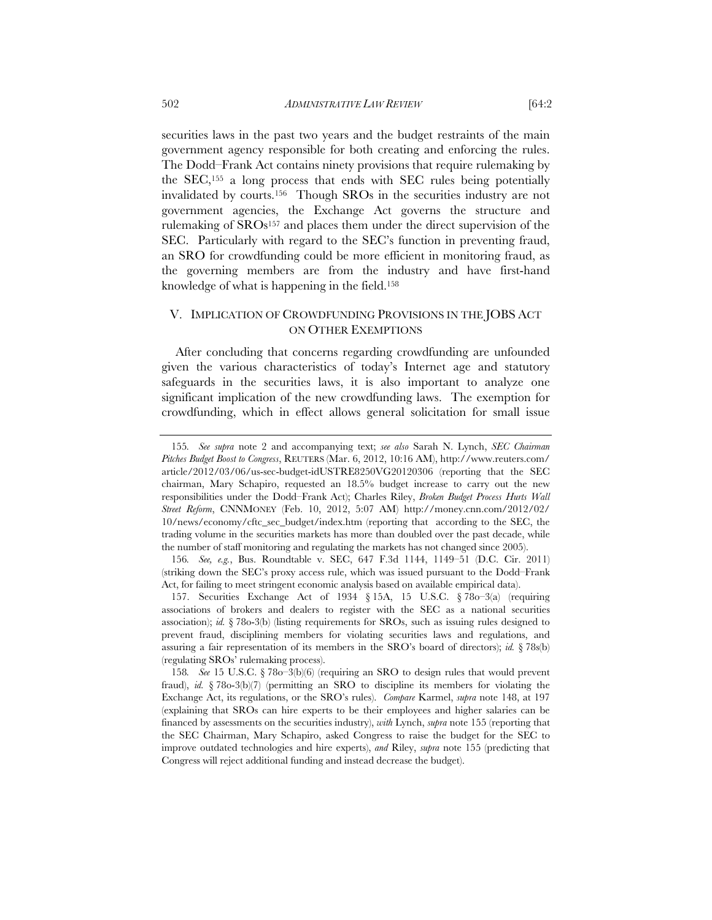securities laws in the past two years and the budget restraints of the main government agency responsible for both creating and enforcing the rules. The Dodd–Frank Act contains ninety provisions that require rulemaking by the SEC,155 a long process that ends with SEC rules being potentially invalidated by courts.156 Though SROs in the securities industry are not government agencies, the Exchange Act governs the structure and rulemaking of  $SROs<sup>157</sup>$  and places them under the direct supervision of the SEC. Particularly with regard to the SEC's function in preventing fraud, an SRO for crowdfunding could be more efficient in monitoring fraud, as the governing members are from the industry and have first-hand knowledge of what is happening in the field.158

# V. IMPLICATION OF CROWDFUNDING PROVISIONS IN THE JOBS ACT ON OTHER EXEMPTIONS

After concluding that concerns regarding crowdfunding are unfounded given the various characteristics of today's Internet age and statutory safeguards in the securities laws, it is also important to analyze one significant implication of the new crowdfunding laws. The exemption for crowdfunding, which in effect allows general solicitation for small issue

<sup>155</sup>*. See supra* note 2 and accompanying text; *see also* Sarah N. Lynch, *SEC Chairman Pitches Budget Boost to Congress*, REUTERS (Mar. 6, 2012, 10:16 AM), http://www.reuters.com/ article/2012/03/06/us-sec-budget-idUSTRE8250VG20120306 (reporting that the SEC chairman, Mary Schapiro, requested an 18.5% budget increase to carry out the new responsibilities under the Dodd–Frank Act); Charles Riley, *Broken Budget Process Hurts Wall Street Reform*, CNNMONEY (Feb. 10, 2012, 5:07 AM) http://money.cnn.com/2012/02/ 10/news/economy/cftc\_sec\_budget/index.htm (reporting that according to the SEC, the trading volume in the securities markets has more than doubled over the past decade, while the number of staff monitoring and regulating the markets has not changed since 2005).

<sup>156</sup>*. See, e.g.*, Bus. Roundtable v. SEC, 647 F.3d 1144, 1149–51 (D.C. Cir. 2011) (striking down the SEC's proxy access rule, which was issued pursuant to the Dodd–Frank Act, for failing to meet stringent economic analysis based on available empirical data).

 <sup>157.</sup> Securities Exchange Act of 1934 § 15A, 15 U.S.C. § 78o–3(a) (requiring associations of brokers and dealers to register with the SEC as a national securities association); *id.* § 78o-3(b) (listing requirements for SROs, such as issuing rules designed to prevent fraud, disciplining members for violating securities laws and regulations, and assuring a fair representation of its members in the SRO's board of directors); *id.* § 78s(b) (regulating SROs' rulemaking process).

<sup>158</sup>*. See* 15 U.S.C. § 78o–3(b)(6) (requiring an SRO to design rules that would prevent fraud), *id.* § 78o-3(b)(7) (permitting an SRO to discipline its members for violating the Exchange Act, its regulations, or the SRO's rules). *Compare* Karmel, *supra* note 148, at 197 (explaining that SROs can hire experts to be their employees and higher salaries can be financed by assessments on the securities industry), *with* Lynch, *supra* note 155 (reporting that the SEC Chairman, Mary Schapiro, asked Congress to raise the budget for the SEC to improve outdated technologies and hire experts), *and* Riley, *supra* note 155 (predicting that Congress will reject additional funding and instead decrease the budget).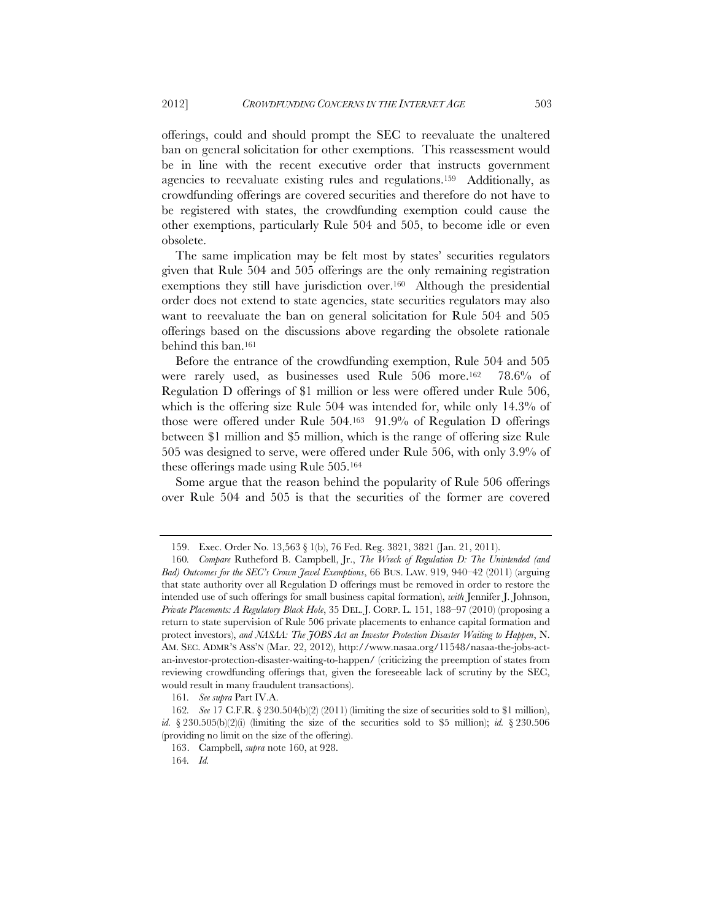offerings, could and should prompt the SEC to reevaluate the unaltered ban on general solicitation for other exemptions. This reassessment would be in line with the recent executive order that instructs government agencies to reevaluate existing rules and regulations.159 Additionally, as crowdfunding offerings are covered securities and therefore do not have to be registered with states, the crowdfunding exemption could cause the other exemptions, particularly Rule 504 and 505, to become idle or even obsolete.

The same implication may be felt most by states' securities regulators given that Rule 504 and 505 offerings are the only remaining registration exemptions they still have jurisdiction over.160 Although the presidential order does not extend to state agencies, state securities regulators may also want to reevaluate the ban on general solicitation for Rule 504 and 505 offerings based on the discussions above regarding the obsolete rationale behind this ban.161

Before the entrance of the crowdfunding exemption, Rule 504 and 505 were rarely used, as businesses used Rule 506 more.162 78.6% of Regulation D offerings of \$1 million or less were offered under Rule 506, which is the offering size Rule 504 was intended for, while only 14.3% of those were offered under Rule 504.163 91.9% of Regulation D offerings between \$1 million and \$5 million, which is the range of offering size Rule 505 was designed to serve, were offered under Rule 506, with only 3.9% of these offerings made using Rule 505.164

Some argue that the reason behind the popularity of Rule 506 offerings over Rule 504 and 505 is that the securities of the former are covered

 <sup>159.</sup> Exec. Order No. 13,563 § 1(b), 76 Fed. Reg. 3821, 3821 (Jan. 21, 2011).

<sup>160</sup>*. Compare* Rutheford B. Campbell, Jr., *The Wreck of Regulation D: The Unintended (and Bad) Outcomes for the SEC's Crown Jewel Exemptions*, 66 BUS. LAW. 919, 940–42 (2011) (arguing that state authority over all Regulation D offerings must be removed in order to restore the intended use of such offerings for small business capital formation), *with* Jennifer J. Johnson, *Private Placements: A Regulatory Black Hole*, 35 DEL. J. CORP. L. 151, 188–97 (2010) (proposing a return to state supervision of Rule 506 private placements to enhance capital formation and protect investors), and *NASAA: The JOBS Act an Investor Protection Disaster Waiting to Happen*, N. AM. SEC. ADMR'S ASS'N (Mar. 22, 2012), http://www.nasaa.org/11548/nasaa-the-jobs-actan-investor-protection-disaster-waiting-to-happen/ (criticizing the preemption of states from reviewing crowdfunding offerings that, given the foreseeable lack of scrutiny by the SEC, would result in many fraudulent transactions).

<sup>161</sup>*. See supra* Part IV.A.

<sup>162</sup>*. See* 17 C.F.R. § 230.504(b)(2) (2011) (limiting the size of securities sold to \$1 million), *id.* § 230.505(b)(2)(i) (limiting the size of the securities sold to \$5 million); *id.* § 230.506 (providing no limit on the size of the offering).

 <sup>163.</sup> Campbell, *supra* note 160, at 928.

<sup>164</sup>*. Id.*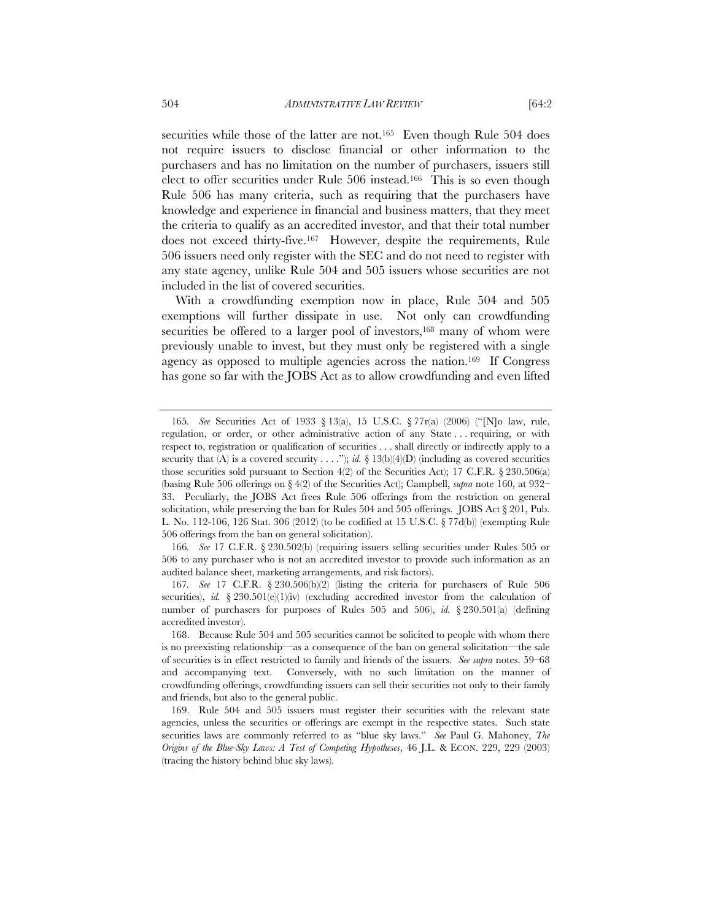securities while those of the latter are not.<sup>165</sup> Even though Rule 504 does not require issuers to disclose financial or other information to the purchasers and has no limitation on the number of purchasers, issuers still elect to offer securities under Rule 506 instead.166 This is so even though Rule 506 has many criteria, such as requiring that the purchasers have knowledge and experience in financial and business matters, that they meet the criteria to qualify as an accredited investor, and that their total number does not exceed thirty-five.167 However, despite the requirements, Rule 506 issuers need only register with the SEC and do not need to register with any state agency, unlike Rule 504 and 505 issuers whose securities are not included in the list of covered securities.

With a crowdfunding exemption now in place, Rule 504 and 505 exemptions will further dissipate in use. Not only can crowdfunding securities be offered to a larger pool of investors,<sup>168</sup> many of whom were previously unable to invest, but they must only be registered with a single agency as opposed to multiple agencies across the nation.169 If Congress has gone so far with the JOBS Act as to allow crowdfunding and even lifted

<sup>165</sup>*. See* Securities Act of 1933 § 13(a), 15 U.S.C. § 77r(a) (2006) ("[N]o law, rule, regulation, or order, or other administrative action of any State . . . requiring, or with respect to, registration or qualification of securities . . . shall directly or indirectly apply to a security that (A) is a covered security . . . ."); *id.*  $\S 13(b)(4)(D)$  (including as covered securities those securities sold pursuant to Section  $4(2)$  of the Securities Act); 17 C.F.R. § 230.506(a) (basing Rule 506 offerings on § 4(2) of the Securities Act); Campbell, *supra* note 160, at 932– 33. Peculiarly, the JOBS Act frees Rule 506 offerings from the restriction on general solicitation, while preserving the ban for Rules  $504$  and  $505$  offerings. JOBS Act  $\S 201$ , Pub. L. No. 112-106, 126 Stat. 306 (2012) (to be codified at 15 U.S.C. § 77d(b)) (exempting Rule 506 offerings from the ban on general solicitation).

<sup>166</sup>*. See* 17 C.F.R. § 230.502(b) (requiring issuers selling securities under Rules 505 or 506 to any purchaser who is not an accredited investor to provide such information as an audited balance sheet, marketing arrangements, and risk factors).

<sup>167</sup>*. See* 17 C.F.R. § 230.506(b)(2) (listing the criteria for purchasers of Rule 506 securities), *id.*  $\S 230.501(e)(1)(iv)$  (excluding accredited investor from the calculation of number of purchasers for purposes of Rules 505 and 506), *id.* § 230.501(a) (defining accredited investor).

 <sup>168.</sup> Because Rule 504 and 505 securities cannot be solicited to people with whom there is no preexisting relationship—as a consequence of the ban on general solicitation—the sale of securities is in effect restricted to family and friends of the issuers. *See supra* notes. 59–68 and accompanying text. Conversely, with no such limitation on the manner of crowdfunding offerings, crowdfunding issuers can sell their securities not only to their family and friends, but also to the general public.

 <sup>169.</sup> Rule 504 and 505 issuers must register their securities with the relevant state agencies, unless the securities or offerings are exempt in the respective states. Such state securities laws are commonly referred to as "blue sky laws." *See* Paul G. Mahoney, *The Origins of the Blue-Sky Laws: A Test of Competing Hypotheses*, 46 J.L. & ECON. 229, 229 (2003) (tracing the history behind blue sky laws).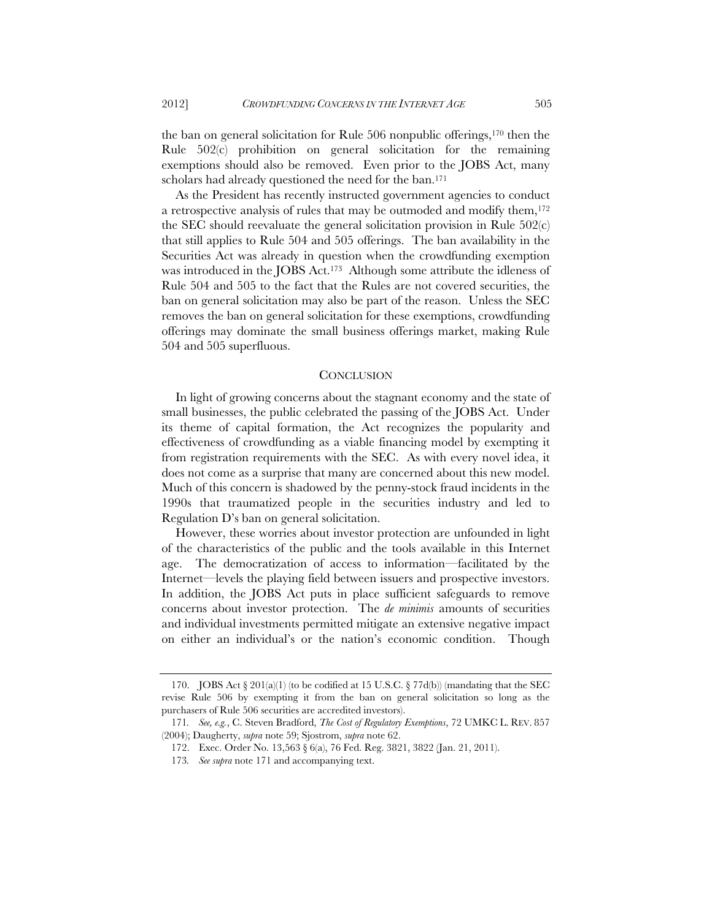the ban on general solicitation for Rule 506 nonpublic offerings,170 then the Rule 502(c) prohibition on general solicitation for the remaining exemptions should also be removed. Even prior to the JOBS Act, many scholars had already questioned the need for the ban.171

As the President has recently instructed government agencies to conduct a retrospective analysis of rules that may be outmoded and modify them,<sup>172</sup> the SEC should reevaluate the general solicitation provision in Rule 502(c) that still applies to Rule 504 and 505 offerings. The ban availability in the Securities Act was already in question when the crowdfunding exemption was introduced in the JOBS Act.173 Although some attribute the idleness of Rule 504 and 505 to the fact that the Rules are not covered securities, the ban on general solicitation may also be part of the reason. Unless the SEC removes the ban on general solicitation for these exemptions, crowdfunding offerings may dominate the small business offerings market, making Rule 504 and 505 superfluous.

#### **CONCLUSION**

In light of growing concerns about the stagnant economy and the state of small businesses, the public celebrated the passing of the JOBS Act. Under its theme of capital formation, the Act recognizes the popularity and effectiveness of crowdfunding as a viable financing model by exempting it from registration requirements with the SEC. As with every novel idea, it does not come as a surprise that many are concerned about this new model. Much of this concern is shadowed by the penny-stock fraud incidents in the 1990s that traumatized people in the securities industry and led to Regulation D's ban on general solicitation.

However, these worries about investor protection are unfounded in light of the characteristics of the public and the tools available in this Internet age. The democratization of access to information—facilitated by the Internet—levels the playing field between issuers and prospective investors. In addition, the JOBS Act puts in place sufficient safeguards to remove concerns about investor protection. The *de minimis* amounts of securities and individual investments permitted mitigate an extensive negative impact on either an individual's or the nation's economic condition. Though

<sup>170.</sup> JOBS Act  $\S 201(a)(1)$  (to be codified at 15 U.S.C.  $\S 77d(b)$ ) (mandating that the SEC revise Rule 506 by exempting it from the ban on general solicitation so long as the purchasers of Rule 506 securities are accredited investors).

<sup>171</sup>*. See, e.g.*, C. Steven Bradford, *The Cost of Regulatory Exemptions*, 72 UMKC L. REV. 857 (2004); Daugherty, *supra* note 59; Sjostrom, *supra* note 62.

 <sup>172.</sup> Exec. Order No. 13,563 § 6(a), 76 Fed. Reg. 3821, 3822 (Jan. 21, 2011).

<sup>173</sup>*. See supra* note 171 and accompanying text.